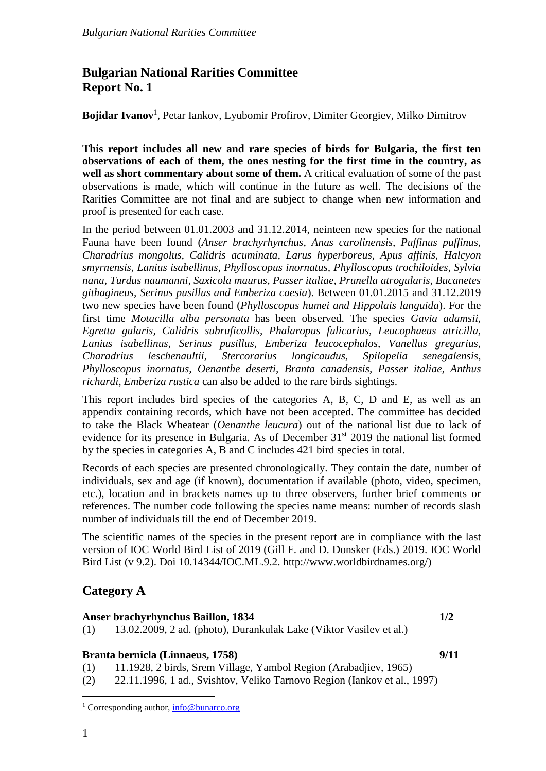# **Bulgarian National Rarities Committee Report No. 1**

**Bojidar Ivanov**<sup>1</sup> , Petar Iankov, Lyubomir Profirov, Dimiter Georgiev, Milko Dimitrov

**This report includes all new and rare species of birds for Bulgaria, the first ten observations of each of them, the ones nesting for the first time in the country, as well as short commentary about some of them.** A critical evaluation of some of the past observations is made, which will continue in the future as well. The decisions of the Rarities Committee are not final and are subject to change when new information and proof is presented for each case.

In the period between 01.01.2003 and 31.12.2014, neinteen new species for the national Fauna have been found (*Anser brachyrhynchus, Anas carolinensis, Puffinus puffinus, Charadrius mongolus, Calidris acuminata, Larus hyperboreus, Apus affinis, Halcyon smyrnensis, Lanius isabellinus, Phylloscopus inornatus, Phylloscopus trochiloides, Sylvia nana, Turdus naumanni, Saxicola maurus, Passer italiae, Prunella atrogularis, Bucanetes githagineus, Serinus pusillus and Emberiza caesia*). Between 01.01.2015 and 31.12.2019 two new species have been found (*Phylloscopus humei and Hippolais languida*). For the first time *Motacilla alba personata* has been observed. The species *Gavia adamsii, Egretta gularis, Calidris subruficollis, Phalaropus fulicarius, Leucophaeus atricilla, Lanius isabellinus, Serinus pusillus, Emberiza leucocephalos, Vanellus gregarius, Charadrius leschenaultii, Stercorarius longicaudus, Spilopelia senegalensis, Phylloscopus inornatus, Oenanthe deserti, Branta canadensis, Passer italiae, Anthus richardi, Emberiza rustica* can also be added to the rare birds sightings.

This report includes bird species of the categories A, B, C, D and E, as well as an appendix containing records, which have not been accepted. The committee has decided to take the Black Wheatear (*Oenanthe leucura*) out of the national list due to lack of evidence for its presence in Bulgaria. As of December 31<sup>st</sup> 2019 the national list formed by the species in categories A, B and C includes 421 bird species in total.

Records of each species are presented chronologically. They contain the date, number of individuals, sex and age (if known), documentation if available (photo, video, specimen, etc.), location and in brackets names up to three observers, further brief comments or references. The number code following the species name means: number of records slash number of individuals till the end of December 2019.

The scientific names of the species in the present report are in compliance with the last version of IOC World Bird List of 2019 (Gill F. and D. Donsker (Eds.) 2019. IOC World Bird List (v 9.2). Doi 10.14344/IOC.ML.9.2. http://www.worldbirdnames.org/)

# **Category A**

## **Anser brachyrhynchus Baillon, 1834 1/2**

(1) 13.02.2009, 2 ad. (photo), Durankulak Lake (Viktor Vasilev et al.)

## **Branta bernicla (Linnaeus, 1758) 9/11**

(1) 11.1928, 2 birds, Srem Village, Yambol Region (Arabadjiev, 1965)

(2) 22.11.1996, 1 ad., Svishtov, Veliko Tarnovo Region (Iankov et al., 1997)

 $\overline{a}$ 

<sup>&</sup>lt;sup>1</sup> Corresponding author, [info@bunarco.org](mailto:info@bunarco.org)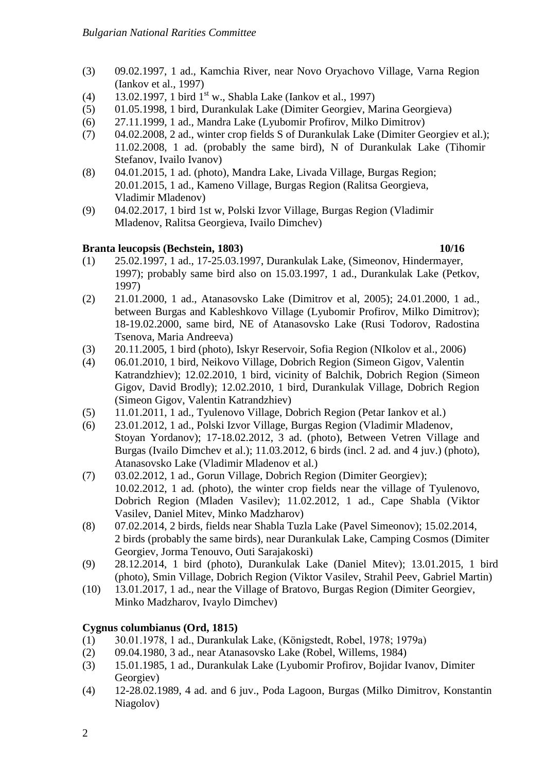- (3) 09.02.1997, 1 ad., Kamchia River, near Novo Oryachovo Village, Varna Region (Iankov et al., 1997)
- $(4)$  13.02.1997, 1 bird 1<sup>st</sup> w., Shabla Lake (Iankov et al., 1997)
- (5) 01.05.1998, 1 bird, Durankulak Lake (Dimiter Georgiev, Marina Georgieva)
- (6) 27.11.1999, 1 ad., Mandra Lake (Lyubomir Profirov, Milko Dimitrov)
- (7) 04.02.2008, 2 ad., winter crop fields S of Durankulak Lake (Dimiter Georgiev et al.); 11.02.2008, 1 ad. (probably the same bird), N of Durankulak Lake (Tihomir Stefanov, Ivailo Ivanov)
- (8) 04.01.2015, 1 ad. (photo), Mandra Lake, Livada Village, Burgas Region; 20.01.2015, 1 ad., Kameno Village, Burgas Region (Ralitsa Georgieva, Vladimir Mladenov)
- (9) 04.02.2017, 1 bird 1st w, Polski Izvor Village, Burgas Region (Vladimir Mladenov, Ralitsa Georgieva, Ivailo Dimchev)

# **Branta leucopsis (Bechstein, 1803) 10/16**

- (1) 25.02.1997, 1 ad., 17-25.03.1997, Durankulak Lake, (Simeonov, Hindermayer, 1997); probably same bird also on 15.03.1997, 1 ad., Durankulak Lake (Petkov, 1997)
- (2) 21.01.2000, 1 ad., Atanasovsko Lake (Dimitrov et al, 2005); 24.01.2000, 1 ad., between Burgas and Kableshkovo Village (Lyubomir Profirov, Milko Dimitrov); 18-19.02.2000, same bird, NE of Atanasovsko Lake (Rusi Todorov, Radostina Tsenova, Maria Andreeva)
- (3) 20.11.2005, 1 bird (photo), Iskyr Reservoir, Sofia Region (NIkolov et al., 2006)
- (4) 06.01.2010, 1 bird, Neikovo Village, Dobrich Region (Simeon Gigov, Valentin Katrandzhiev); 12.02.2010, 1 bird, vicinity of Balchik, Dobrich Region (Simeon Gigov, David Brodly); 12.02.2010, 1 bird, Durankulak Village, Dobrich Region (Simeon Gigov, Valentin Katrandzhiev)
- (5) 11.01.2011, 1 ad., Tyulenovo Village, Dobrich Region (Petar Iankov et al.)
- (6) 23.01.2012, 1 ad., Polski Izvor Village, Burgas Region (Vladimir Mladenov, Stoyan Yordanov); 17-18.02.2012, 3 ad. (photo), Between Vetren Village and Burgas (Ivailo Dimchev et al.); 11.03.2012, 6 birds (incl. 2 ad. and 4 juv.) (photo), Atanasovsko Lake (Vladimir Mladenov et al.)
- (7) 03.02.2012, 1 ad., Gorun Village, Dobrich Region (Dimiter Georgiev); 10.02.2012, 1 ad. (photo), the winter crop fields near the village of Tyulenovo, Dobrich Region (Mladen Vasilev); 11.02.2012, 1 ad., Cape Shabla (Viktor Vasilev, Daniel Mitev, Minko Madzharov)
- (8) 07.02.2014, 2 birds, fields near Shabla Tuzla Lake (Pavel Simeonov); 15.02.2014, 2 birds (probably the same birds), near Durankulak Lake, Camping Cosmos (Dimiter Georgiev, Jorma Tenouvo, Outi Sarajakoski)
- (9) 28.12.2014, 1 bird (photo), Durankulak Lake (Daniel Mitev); 13.01.2015, 1 bird (photo), Smin Village, Dobrich Region (Viktor Vasilev, Strahil Peev, Gabriel Martin)
- (10) 13.01.2017, 1 ad., near the Village of Bratovo, Burgas Region (Dimiter Georgiev, Minko Madzharov, Ivaylo Dimchev)

# **Cygnus columbianus (Ord, 1815)**

- (1) 30.01.1978, 1 ad., Durankulak Lake, (Königstedt, Robel, 1978; 1979a)
- (2) 09.04.1980, 3 ad., near Atanasovsko Lake (Robel, Willems, 1984)
- (3) 15.01.1985, 1 ad., Durankulak Lake (Lyubomir Profirov, Bojidar Ivanov, Dimiter Georgiev)
- (4) 12-28.02.1989, 4 ad. and 6 juv., Poda Lagoon, Burgas (Milko Dimitrov, Konstantin Niagolov)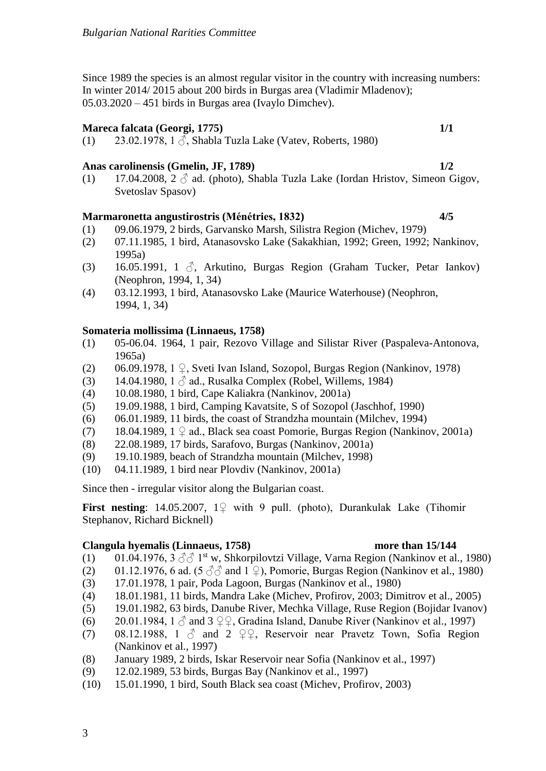Since 1989 the species is an almost regular visitor in the country with increasing numbers: In winter 2014/ 2015 about 200 birds in Burgas area (Vladimir Mladenov); 05.03.2020 – 451 birds in Burgas area (Ivaylo Dimchev).

### **Mareca falcata (Georgi, 1775) 1/1**

(1) 23.02.1978, 1  $\delta$ , Shabla Tuzla Lake (Vatev, Roberts, 1980)

### **Anas carolinensis (Gmelin, JF, 1789) 1/2**

(1) 17.04.2008,  $2 \circ$  ad. (photo), Shabla Tuzla Lake (Iordan Hristov, Simeon Gigov, Svetoslav Spasov)

#### **Marmaronetta angustirostris (Ménétries, 1832) 4/5**

- (1) 09.06.1979, 2 birds, Garvansko Marsh, Silistra Region (Michev, 1979)
- (2) 07.11.1985, 1 bird, Atanasovsko Lake (Sakakhian, 1992; Green, 1992; Nankinov, 1995a)
- (3) 16.05.1991, 1  $\beta$ , Arkutino, Burgas Region (Graham Tucker, Petar Iankov) (Neophron, 1994, 1, 34)
- (4) 03.12.1993, 1 bird, Atanasovsko Lake (Maurice Waterhouse) (Neophron, 1994, 1, 34)

#### **Somateria mollissima (Linnaeus, 1758)**

- (1) 05-06.04. 1964, 1 pair, Rezovo Village and Silistar River (Paspaleva-Antonova, 1965a)
- (2) 06.09.1978, 1 ♀, Sveti Ivan Island, Sozopol, Burgas Region (Nankinov, 1978)
- (3) 14.04.1980, 1  $\delta$  ad., Rusalka Complex (Robel, Willems, 1984)
- (4) 10.08.1980, 1 bird, Cape Kaliakra (Nankinov, 2001a)
- (5) 19.09.1988, 1 bird, Camping Kavatsite, S of Sozopol (Jaschhof, 1990)
- (6) 06.01.1989, 11 birds, the coast of Strandzha mountain (Milchev, 1994)
- (7) 18.04.1989,  $1 \nsubseteq ad$ ., Black sea coast Pomorie, Burgas Region (Nankinov, 2001a)
- (8) 22.08.1989, 17 birds, Sarafovo, Burgas (Nankinov, 2001a)
- (9) 19.10.1989, beach of Strandzha mountain (Milchev, 1998)
- (10) 04.11.1989, 1 bird near Plovdiv (Nankinov, 2001a)

Since then - irregular visitor along the Bulgarian coast.

**First nesting**: 14.05.2007, 1♀ with 9 pull. (photo), Durankulak Lake (Tihomir Stephanov, Richard Bicknell)

### **Clangula hyemalis (Linnaeus, 1758) more than 15/144**

- (1) 01.04.1976, 3  $\circled{3}$  1<sup>st</sup> w, Shkorpilovtzi Village, Varna Region (Nankinov et al., 1980)
- (2) 01.12.1976, 6 ad. (5  $\textcircled{3}$  and 1  $\textcircled{2}$ ), Pomorie, Burgas Region (Nankinov et al., 1980)
- (3) 17.01.1978, 1 pair, Poda Lagoon, Burgas (Nankinov et al., 1980)
- (4) 18.01.1981, 11 birds, Mandra Lake (Michev, Profirov, 2003; Dimitrov et al., 2005)
- (5) 19.01.1982, 63 birds, Danube River, Mechka Village, Ruse Region (Bojidar Ivanov)
- (6) 20.01.1984, 1  $\circ$  and 3  $\circ$   $\circ$ , Gradina Island, Danube River (Nankinov et al., 1997)
- (7) 08.12.1988, 1  $\delta$  and 2  $\Omega$ , Reservoir near Pravetz Town, Sofia Region (Nankinov et al., 1997)
- (8) January 1989, 2 birds, Iskar Reservoir near Sofia (Nankinov et al., 1997)
- (9) 12.02.1989, 53 birds, Burgas Bay (Nankinov et al., 1997)
- (10) 15.01.1990, 1 bird, South Black sea coast (Michev, Profirov, 2003)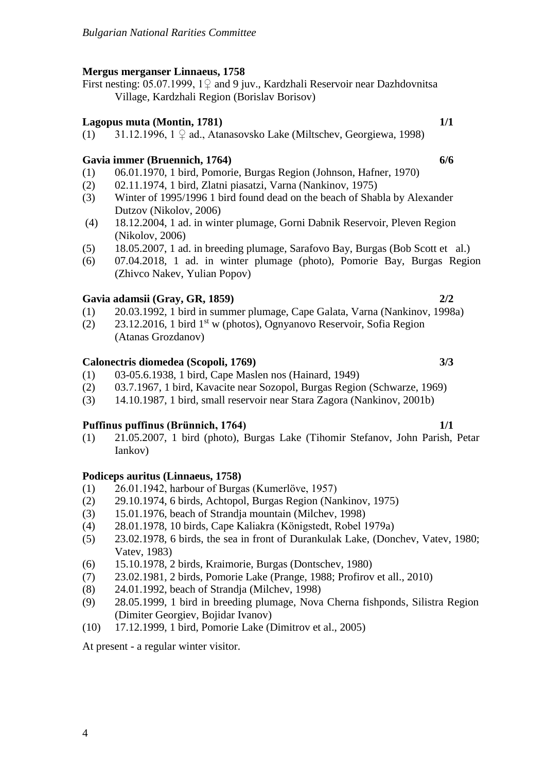# **Mergus merganser Linnaeus, 1758**

First nesting: 05.07.1999,  $1\sqrt{ }$  and 9 juv., Kardzhali Reservoir near Dazhdovnitsa Village, Kardzhali Region (Borislav Borisov)

# **Lagopus muta (Montin, 1781) 1/1**

(1) 31.12.1996, 1 ♀ ad., Atanasovsko Lake (Miltschev, Georgiewa, 1998)

# **Gavia immer (Bruennich, 1764) 6/6**

- (1) 06.01.1970, 1 bird, Pomorie, Burgas Region (Johnson, Hafner, 1970)
- (2) 02.11.1974, 1 bird, Zlatni piasatzi, Varna (Nankinov, 1975)
- (3) Winter of 1995/1996 1 bird found dead on the beach of Shabla by Alexander Dutzov (Nikolov, 2006)
- (4) 18.12.2004, 1 ad. in winter plumage, Gorni Dabnik Reservoir, Pleven Region (Nikolov, 2006)
- (5) 18.05.2007, 1 ad. in breeding plumage, Sarafovo Bay, Burgas (Bob Scott et al.)
- (6) 07.04.2018, 1 ad. in winter plumage (photo), Pomorie Bay, Burgas Region (Zhivco Nakev, Yulian Popov)

# **Gavia adamsii (Gray, GR, 1859) 2/2**

- (1) 20.03.1992, 1 bird in summer plumage, Cape Galata, Varna (Nankinov, 1998a)
- (2) 23.12.2016, 1 bird 1st w (photos), Ognyanovo Reservoir, Sofia Region (Atanas Grozdanov)

# **Calonectris diomedea (Scopoli, 1769) 3/3**

- (1) 03-05.6.1938, 1 bird, Cape Maslen nos (Hainard, 1949)
- (2) 03.7.1967, 1 bird, Kavacite near Sozopol, Burgas Region (Schwarze, 1969)
- (3) 14.10.1987, 1 bird, small reservoir near Stara Zagora (Nankinov, 2001b)

# **Puffinus puffinus (Brünnich, 1764) 1/1**

(1) 21.05.2007, 1 bird (photo), Burgas Lake (Tihomir Stefanov, John Parish, Petar Iankov)

# **Podiceps auritus (Linnaeus, 1758)**

- (1) 26.01.1942, harbour of Burgas (Kumerlöve, 1957)
- (2) 29.10.1974, 6 birds, Achtopol, Burgas Region (Nankinov, 1975)
- (3) 15.01.1976, beach of Strandja mountain (Milchev, 1998)
- (4) 28.01.1978, 10 birds, Cape Kaliakra (Königstedt, Robel 1979a)
- (5) 23.02.1978, 6 birds, the sea in front of Durankulak Lake, (Donchev, Vatev, 1980; Vatev, 1983)
- (6) 15.10.1978, 2 birds, Kraimorie, Burgas (Dontschev, 1980)
- (7) 23.02.1981, 2 birds, Pomorie Lake (Prange, 1988; Profirov et all., 2010)
- (8) 24.01.1992, beach of Strandja (Milchev, 1998)
- (9) 28.05.1999, 1 bird in breeding plumage, Nova Cherna fishponds, Silistra Region (Dimiter Georgiev, Bojidar Ivanov)
- (10) 17.12.1999, 1 bird, Pomorie Lake (Dimitrov et al., 2005)

At present - a regular winter visitor.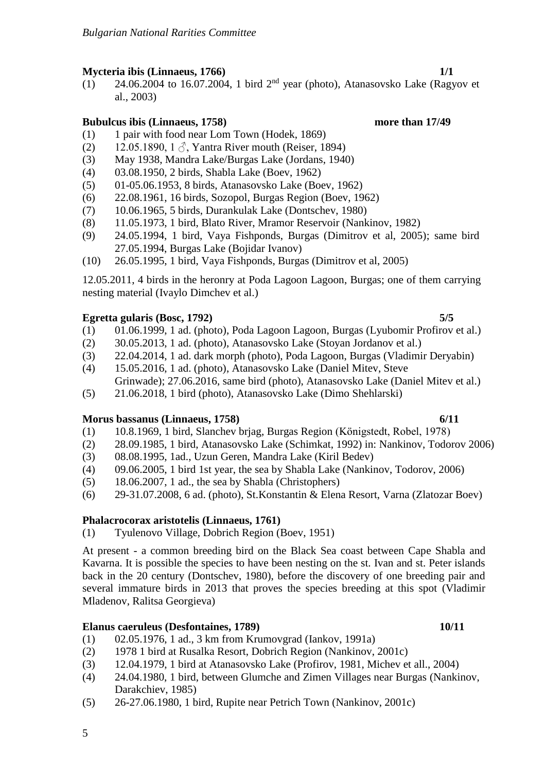# **Mycteria ibis (Linnaeus, 1766) 1/1**

 $(1)$  24.06.2004 to 16.07.2004, 1 bird 2<sup>nd</sup> year (photo), Atanasovsko Lake (Ragyov et al., 2003)

## **Bubulcus ibis (Linnaeus, 1758) more than 17/49**

- (1) 1 pair with food near Lom Town (Hodek, 1869)
- (2) 12.05.1890, 1  $\Diamond$ , Yantra River mouth (Reiser, 1894)
- (3) May 1938, Mandra Lake/Burgas Lake (Jordans, 1940)
- (4) 03.08.1950, 2 birds, Shabla Lake (Boev, 1962)
- (5) 01-05.06.1953, 8 birds, Atanasovsko Lake (Boev, 1962)
- (6) 22.08.1961, 16 birds, Sozopol, Burgas Region (Boev, 1962)
- (7) 10.06.1965, 5 birds, Durankulak Lake (Dontschev, 1980)
- (8) 11.05.1973, 1 bird, Blato River, Mramor Reservoir (Nankinov, 1982)
- (9) 24.05.1994, 1 bird, Vaya Fishponds, Burgas (Dimitrov et al, 2005); same bird 27.05.1994, Burgas Lake (Bojidar Ivanov)
- (10) 26.05.1995, 1 bird, Vaya Fishponds, Burgas (Dimitrov et al, 2005)

12.05.2011, 4 birds in the heronry at Poda Lagoon Lagoon, Burgas; one of them carrying nesting material (Ivaylo Dimchev et al.)

### **Egretta gularis (Bosc, 1792) 5/5**

- (1) 01.06.1999, 1 ad. (photo), Poda Lagoon Lagoon, Burgas (Lyubomir Profirov et al.)
- (2) 30.05.2013, 1 ad. (photo), Atanasovsko Lake (Stoyan Jordanov et al.)
- (3) 22.04.2014, 1 ad. dark morph (photo), Poda Lagoon, Burgas (Vladimir Deryabin)
- (4) 15.05.2016, 1 ad. (photo), Atanasovsko Lake (Daniel Mitev, Steve Grinwade); 27.06.2016, same bird (photo), Atanasovsko Lake (Daniel Mitev et al.)
- (5) 21.06.2018, 1 bird (photo), Atanasovsko Lake (Dimo Shehlarski)

### **Morus bassanus (Linnaeus, 1758) 6/11**

- (1) 10.8.1969, 1 bird, Slanchev brjag, Burgas Region (Königstedt, Robel, 1978)
- (2) 28.09.1985, 1 bird, Atanasovsko Lake (Schimkat, 1992) in: Nankinov, Todorov 2006)
- (3) 08.08.1995, 1ad., Uzun Geren, Mandra Lake (Kiril Bedev)
- (4) 09.06.2005, 1 bird 1st year, the sea by Shabla Lake (Nankinov, Todorov, 2006)
- (5) 18.06.2007, 1 ad., the sea by Shabla (Christophers)
- (6) 29-31.07.2008, 6 ad. (photo), St.Konstantin & Elena Resort, Varna (Zlatozar Boev)

## **Phalacrocorax aristotelis (Linnaeus, 1761)**

(1) Tyulenovo Village, Dobrich Region (Boev, 1951)

At present - a common breeding bird on the Black Sea coast between Cape Shabla and Kavarna. It is possible the species to have been nesting on the st. Ivan and st. Peter islands back in the 20 century (Dontschev, 1980), before the discovery of one breeding pair and several immature birds in 2013 that proves the species breeding at this spot (Vladimir Mladenov, Ralitsa Georgieva)

## **Elanus caeruleus (Desfontaines, 1789) 10/11**

- (1) 02.05.1976, 1 ad., 3 km from Krumovgrad (Iankov, 1991a)
- (2) 1978 1 bird at Rusalka Resort, Dobrich Region (Nankinov, 2001c)
- (3) 12.04.1979, 1 bird at Atanasovsko Lake (Profirov, 1981, Michev et all., 2004)
- (4) 24.04.1980, 1 bird, between Glumche and Zimen Villages near Burgas (Nankinov, Darakchiev, 1985)
- (5) 26-27.06.1980, 1 bird, Rupite near Petrich Town (Nankinov, 2001c)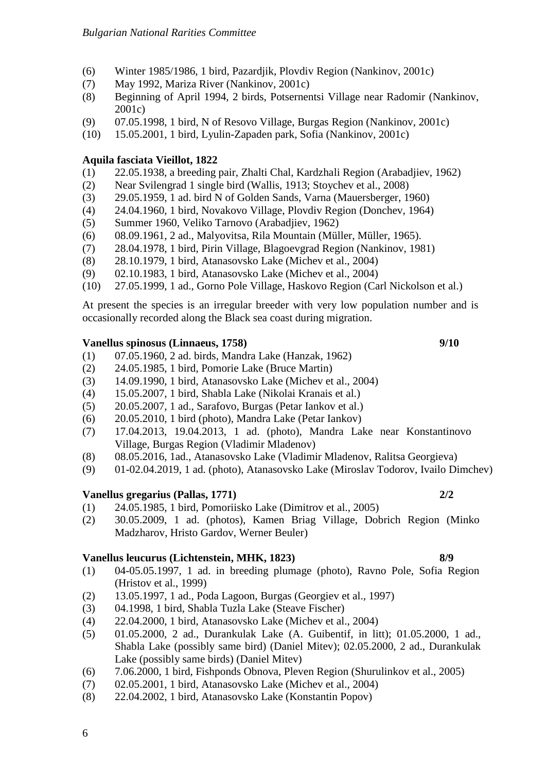- (6) Winter 1985/1986, 1 bird, Pazardjik, Plovdiv Region (Nankinov, 2001c)
- (7) May 1992, Mariza River (Nankinov, 2001c)
- (8) Beginning of April 1994, 2 birds, Potsernentsi Village near Radomir (Nankinov, 2001c)
- (9) 07.05.1998, 1 bird, N of Resovo Village, Burgas Region (Nankinov, 2001c)
- (10) 15.05.2001, 1 bird, Lyulin-Zapaden park, Sofia (Nankinov, 2001c)

# **Aquila fasciata Vieillot, 1822**

- (1) 22.05.1938, a breeding pair, Zhalti Chal, Kardzhali Region (Arabadjiev, 1962)
- (2) Near Svilengrad 1 single bird (Wallis, 1913; Stoychev et al., 2008)
- (3) 29.05.1959, 1 ad. bird N of Golden Sands, Varna (Mauersberger, 1960)
- (4) 24.04.1960, 1 bird, Novakovo Village, Plovdiv Region (Donchev, 1964)
- (5) Summer 1960, Veliko Tarnovo (Arabadjiev, 1962)
- (6) 08.09.1961, 2 ad., Malyovitsa, Rila Mountain (Müller, Müller, 1965).
- (7) 28.04.1978, 1 bird, Pirin Village, Blagoevgrad Region (Nankinov, 1981)
- (8) 28.10.1979, 1 bird, Atanasovsko Lake (Michev et al., 2004)
- (9) 02.10.1983, 1 bird, Atanasovsko Lake (Michev et al., 2004)
- (10) 27.05.1999, 1 ad., Gorno Pole Village, Haskovo Region (Carl Nickolson et al.)

At present the species is an irregular breeder with very low population number and is occasionally recorded along the Black sea coast during migration.

## **Vanellus spinosus (Linnaeus, 1758) 9/10**

- (1) 07.05.1960, 2 ad. birds, Mandra Lake (Hanzak, 1962)
- (2) 24.05.1985, 1 bird, Pomorie Lake (Bruce Martin)
- (3) 14.09.1990, 1 bird, Atanasovsko Lake (Michev et al., 2004)
- (4) 15.05.2007, 1 bird, Shabla Lake (Nikolai Kranais et al.)
- (5) 20.05.2007, 1 ad., Sarafovo, Burgas (Petar Iankov et al.)
- (6) 20.05.2010, 1 bird (photo), Mandra Lake (Petar Iankov)
- (7) 17.04.2013, 19.04.2013, 1 ad. (photo), Mandra Lake near Konstantinovo Village, Burgas Region (Vladimir Mladenov)
- (8) 08.05.2016, 1ad., Atanasovsko Lake (Vladimir Mladenov, Ralitsa Georgieva)
- (9) 01-02.04.2019, 1 ad. (photo), Atanasovsko Lake (Miroslav Todorov, Ivailo Dimchev)

# **Vanellus gregarius (Pallas, 1771) 2/2**

- (1) 24.05.1985, 1 bird, Pomoriisko Lake (Dimitrov et al., 2005)
- (2) 30.05.2009, 1 ad. (photos), Kamen Briag Village, Dobrich Region (Minko Madzharov, Hristo Gardov, Werner Beuler)

# **Vanellus leucurus (Lichtenstein, MHK, 1823) 8/9**

- (1) 04-05.05.1997, 1 ad. in breeding plumage (photo), Ravno Pole, Sofia Region (Hristov et al., 1999)
- (2) 13.05.1997, 1 ad., Poda Lagoon, Burgas (Georgiev et al., 1997)
- (3) 04.1998, 1 bird, Shabla Tuzla Lake (Steave Fischer)
- (4) 22.04.2000, 1 bird, Atanasovsko Lake (Michev et al., 2004)
- (5) 01.05.2000, 2 ad., Durankulak Lake (A. Guibentif, in litt); 01.05.2000, 1 ad., Shabla Lake (possibly same bird) (Daniel Mitev); 02.05.2000, 2 ad., Durankulak Lake (possibly same birds) (Daniel Mitev)
- (6) 7.06.2000, 1 bird, Fishponds Obnova, Pleven Region (Shurulinkov et al., 2005)
- (7) 02.05.2001, 1 bird, Atanasovsko Lake (Michev et al., 2004)
- (8) 22.04.2002, 1 bird, Atanasovsko Lake (Konstantin Popov)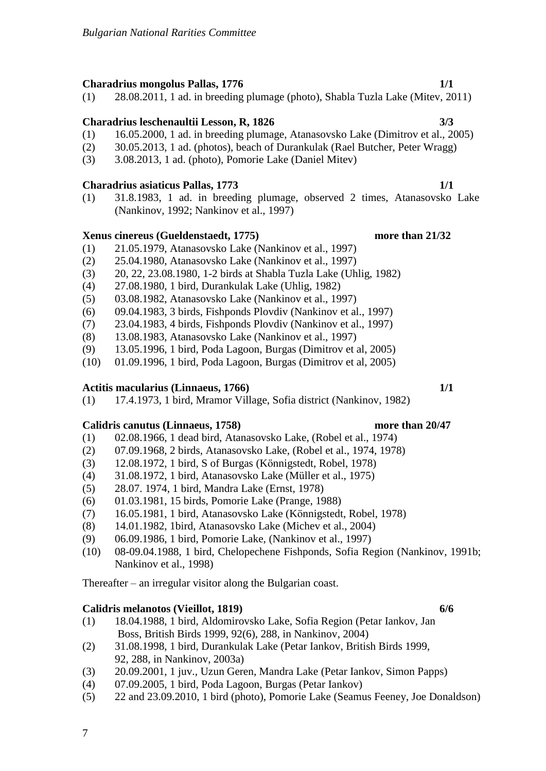# **Charadrius mongolus Pallas, 1776 1/1**

(1) 28.08.2011, 1 ad. in breeding plumage (photo), Shabla Tuzla Lake (Mitev, 2011)

# **Charadrius leschenaultii Lesson, R, 1826 3/3**

- (1) 16.05.2000, 1 ad. in breeding plumage, Atanasovsko Lake (Dimitrov et al., 2005)
- (2) 30.05.2013, 1 ad. (photos), beach of Durankulak (Rael Butcher, Peter Wragg)
- (3) 3.08.2013, 1 ad. (photo), Pomorie Lake (Daniel Mitev)

# **Charadrius asiaticus Pallas, 1773 1/1**

(1) 31.8.1983, 1 ad. in breeding plumage, observed 2 times, Atanasovsko Lake (Nankinov, 1992; Nankinov et al., 1997)

# **Xenus cinereus (Gueldenstaedt, 1775) more than 21/32**

- (1) 21.05.1979, Atanasovsko Lake (Nankinov et al., 1997)
- (2) 25.04.1980, Atanasovsko Lake (Nankinov et al., 1997)
- (3) 20, 22, 23.08.1980, 1-2 birds at Shabla Tuzla Lake (Uhlig, 1982)
- (4) 27.08.1980, 1 bird, Durankulak Lake (Uhlig, 1982)
- (5) 03.08.1982, Atanasovsko Lake (Nankinov et al., 1997)
- (6) 09.04.1983, 3 birds, Fishponds Plovdiv (Nankinov et al., 1997)
- (7) 23.04.1983, 4 birds, Fishponds Plovdiv (Nankinov et al., 1997)
- (8) 13.08.1983, Atanasovsko Lake (Nankinov et al., 1997)
- (9) 13.05.1996, 1 bird, Poda Lagoon, Burgas (Dimitrov et al, 2005)
- (10) 01.09.1996, 1 bird, Poda Lagoon, Burgas (Dimitrov et al, 2005)

# **Actitis macularius (Linnaeus, 1766) 1/1**

(1) 17.4.1973, 1 bird, Mramor Village, Sofia district (Nankinov, 1982)

# **Calidris canutus (Linnaeus, 1758) more than 20/47**

- (1) 02.08.1966, 1 dead bird, Atanasovsko Lake, (Robel et al., 1974)
- (2) 07.09.1968, 2 birds, Atanasovsko Lake, (Robel et al., 1974, 1978)
- (3) 12.08.1972, 1 bird, S of Burgas (Könnigstedt, Robel, 1978)
- (4) 31.08.1972, 1 bird, Atanasovsko Lake (Müller et al., 1975)
- (5) 28.07. 1974, 1 bird, Mandra Lake (Ernst, 1978)
- (6) 01.03.1981, 15 birds, Pomorie Lake (Prange, 1988)
- (7) 16.05.1981, 1 bird, Atanasovsko Lake (Könnigstedt, Robel, 1978)
- (8) 14.01.1982, 1bird, Atanasovsko Lake (Michev et al., 2004)
- (9) 06.09.1986, 1 bird, Pomorie Lake, (Nankinov et al., 1997)
- (10) 08-09.04.1988, 1 bird, Chelopechene Fishponds, Sofia Region (Nankinov, 1991b; Nankinov et al., 1998)

Thereafter – an irregular visitor along the Bulgarian coast.

# **Calidris melanotos (Vieillot, 1819) 6/6**

- (1) 18.04.1988, 1 bird, Aldomirovsko Lake, Sofia Region (Petar Iankov, Jan Boss, British Birds 1999, 92(6), 288, in Nankinov, 2004)
- (2) 31.08.1998, 1 bird, Durankulak Lake (Petar Iankov, British Birds 1999, 92, 288, in Nankinov, 2003a)
- (3) 20.09.2001, 1 juv., Uzun Geren, Mandra Lake (Petar Iankov, Simon Papps)
- (4) 07.09.2005, 1 bird, Poda Lagoon, Burgas (Petar Iankov)
- (5) 22 and 23.09.2010, 1 bird (photo), Pomorie Lake (Seamus Feeney, Joe Donaldson)

7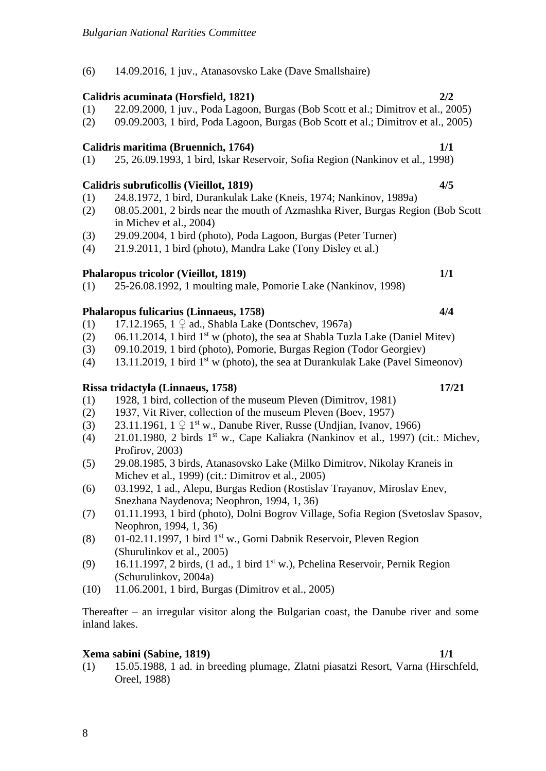(6) 14.09.2016, 1 juv., Atanasovsko Lake (Dave Smallshaire)

# **Calidris acuminata (Horsfield, 1821) 2/2**

- (1) 22.09.2000, 1 juv., Poda Lagoon, Burgas (Bob Scott et al.; Dimitrov et al., 2005)
- (2) 09.09.2003, 1 bird, Poda Lagoon, Burgas (Bob Scott et al.; Dimitrov et al., 2005)

# **Calidris maritima (Bruennich, 1764) 1/1**

(1) 25, 26.09.1993, 1 bird, Iskar Reservoir, Sofia Region (Nankinov et al., 1998)

# **Calidris subruficollis (Vieillot, 1819) 4/5**

- (1) 24.8.1972, 1 bird, Durankulak Lake (Kneis, 1974; Nankinov, 1989a)
- (2) 08.05.2001, 2 birds near the mouth of Azmashka River, Burgas Region (Bob Scott in Michev et al., 2004)
- (3) 29.09.2004, 1 bird (photo), Poda Lagoon, Burgas (Peter Turner)
- (4) 21.9.2011, 1 bird (photo), Mandra Lake (Tony Disley et al.)

# **Phalaropus tricolor (Vieillot, 1819) 1/1**

(1) 25-26.08.1992, 1 moulting male, Pomorie Lake (Nankinov, 1998)

# **Phalaropus fulicarius (Linnaeus, 1758) 4/4**

- (1) 17.12.1965,  $1 \nsubseteq ad$ , Shabla Lake (Dontschev, 1967a)
- $(2)$  06.11.2014, 1 bird 1<sup>st</sup> w (photo), the sea at Shabla Tuzla Lake (Daniel Mitev)
- (3) 09.10.2019, 1 bird (photo), Pomorie, Burgas Region (Todor Georgiev)
- (4) 13.11.2019, 1 bird  $1<sup>st</sup>$  w (photo), the sea at Durankulak Lake (Pavel Simeonov)

# **Rissa tridactyla (Linnaeus, 1758) 17/21**

- (1) 1928, 1 bird, collection of the museum Pleven (Dimitrov, 1981)
- (2) 1937, Vit River, collection of the museum Pleven (Boev, 1957)
- (3) 23.11.1961,  $1 \nsubseteq 1^{st}$  w., Danube River, Russe (Undjian, Ivanov, 1966)
- $(4)$  21.01.1980, 2 birds 1<sup>st</sup> w., Cape Kaliakra (Nankinov et al., 1997) (cit.: Michev, Profirov, 2003)
- (5) 29.08.1985, 3 birds, Atanasovsko Lake (Milko Dimitrov, Nikolay Kraneis in Michev et al., 1999) (cit.: Dimitrov et al., 2005)
- (6) 03.1992, 1 ad., Alepu, Burgas Redion (Rostislav Trayanov, Miroslav Enev, Snezhana Naydenova; Neophron, 1994, 1, 36)
- (7) 01.11.1993, 1 bird (photo), Dolni Bogrov Village, Sofia Region (Svetoslav Spasov, Neophron, 1994, 1, 36)
- (8) 01-02.11.1997, 1 bird 1st w., Gorni Dabnik Reservoir, Pleven Region (Shurulinkov et al., 2005)
- (9) 16.11.1997, 2 birds, (1 ad., 1 bird 1<sup>st</sup> w.), Pchelina Reservoir, Pernik Region (Schurulinkov, 2004a)
- (10) 11.06.2001, 1 bird, Burgas (Dimitrov et al., 2005)

Thereafter – an irregular visitor along the Bulgarian coast, the Danube river and some inland lakes.

# **Xema sabini (Sabine, 1819) 1/1**

8

(1) 15.05.1988, 1 ad. in breeding plumage, Zlatni piasatzi Resort, Varna (Hirschfeld, Oreel, 1988)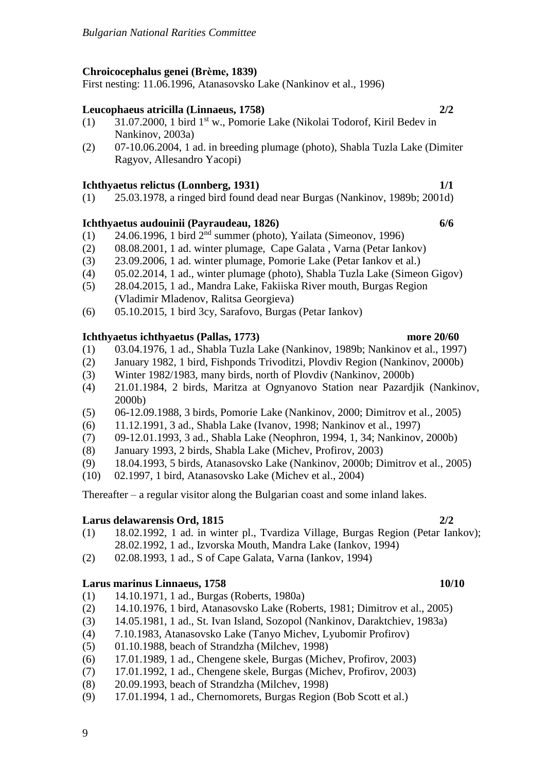# **Chroicocephalus genei (Brème, 1839)**

First nesting: 11.06.1996, Atanasovsko Lake (Nankinov et al., 1996)

# **Leucophaeus atricilla (Linnaeus, 1758) 2/2**

- (1) 31.07.2000, 1 bird 1st w., Pomorie Lake (Nikolai Todorof, Kiril Bedev in Nankinov, 2003a)
- (2) 07-10.06.2004, 1 ad. in breeding plumage (photo), Shabla Tuzla Lake (Dimiter Ragyov, Allesandro Yacopi)

# **Ichthyaetus relictus (Lonnberg, 1931) 1/1**

(1) 25.03.1978, a ringed bird found dead near Burgas (Nankinov, 1989b; 2001d)

# **Ichthyaetus audouinii (Payraudeau, 1826) 6/6**

- $(1)$  24.06.1996, 1 bird  $2<sup>nd</sup>$  summer (photo), Yailata (Simeonov, 1996)
- (2) 08.08.2001, 1 ad. winter plumage, Cape Galata , Varna (Petar Iankov)
- (3) 23.09.2006, 1 ad. winter plumage, Pomorie Lake (Petar Iankov et al.)
- (4) 05.02.2014, 1 ad., winter plumage (photo), Shabla Tuzla Lake (Simeon Gigov)
- (5) 28.04.2015, 1 ad., Mandra Lake, Fakiiska River mouth, Burgas Region (Vladimir Mladenov, Ralitsa Georgieva)
- (6) 05.10.2015, 1 bird 3cy, Sarafovo, Burgas (Petar Iankov)

# **Ichthyaetus ichthyaetus (Pallas, 1773) more 20/60**

- (1) 03.04.1976, 1 ad., Shabla Tuzla Lake (Nankinov, 1989b; Nankinov et al., 1997)
- (2) January 1982, 1 bird, Fishponds Trivoditzi, Plovdiv Region (Nankinov, 2000b)
- (3) Winter 1982/1983, many birds, north of Plovdiv (Nankinov, 2000b)
- (4) 21.01.1984, 2 birds, Maritza at Ognyanovo Station near Pazardjik (Nankinov, 2000b)
- (5) 06-12.09.1988, 3 birds, Pomorie Lake (Nankinov, 2000; Dimitrov et al., 2005)
- (6) 11.12.1991, 3 ad., Shabla Lake (Ivanov, 1998; Nankinov et al., 1997)
- (7) 09-12.01.1993, 3 ad., Shabla Lake (Neophron, 1994, 1, 34; Nankinov, 2000b)
- (8) January 1993, 2 birds, Shabla Lake (Michev, Profirov, 2003)
- (9) 18.04.1993, 5 birds, Atanasovsko Lake (Nankinov, 2000b; Dimitrov et al., 2005)
- (10) 02.1997, 1 bird, Atanasovsko Lake (Michev et al., 2004)

Thereafter – a regular visitor along the Bulgarian coast and some inland lakes.

# **Larus delawarensis Ord, 1815 2/2**

- (1) 18.02.1992, 1 ad. in winter pl., Tvardiza Village, Burgas Region (Petar Iankov); 28.02.1992, 1 ad., Izvorska Mouth, Mandra Lake (Iankov, 1994)
- (2) 02.08.1993, 1 ad., S of Cape Galata, Varna (Iankov, 1994)

# **Larus marinus Linnaeus, 1758 10/10**

- (1) 14.10.1971, 1 ad., Burgas (Roberts, 1980a)
- (2) 14.10.1976, 1 bird, Atanasovsko Lake (Roberts, 1981; Dimitrov et al., 2005)
- (3) 14.05.1981, 1 ad., St. Ivan Island, Sozopol (Nankinov, Daraktchiev, 1983a)
- (4) 7.10.1983, Atanasovsko Lake (Tanyo Michev, Lyubomir Profirov)
- (5) 01.10.1988, beach of Strandzha (Milchev, 1998)
- (6) 17.01.1989, 1 ad., Chengene skele, Burgas (Michev, Profirov, 2003)
- (7) 17.01.1992, 1 ad., Chengene skele, Burgas (Michev, Profirov, 2003)
- (8) 20.09.1993, beach of Strandzha (Milchev, 1998)
- (9) 17.01.1994, 1 ad., Chernomorets, Burgas Region (Bob Scott et al.)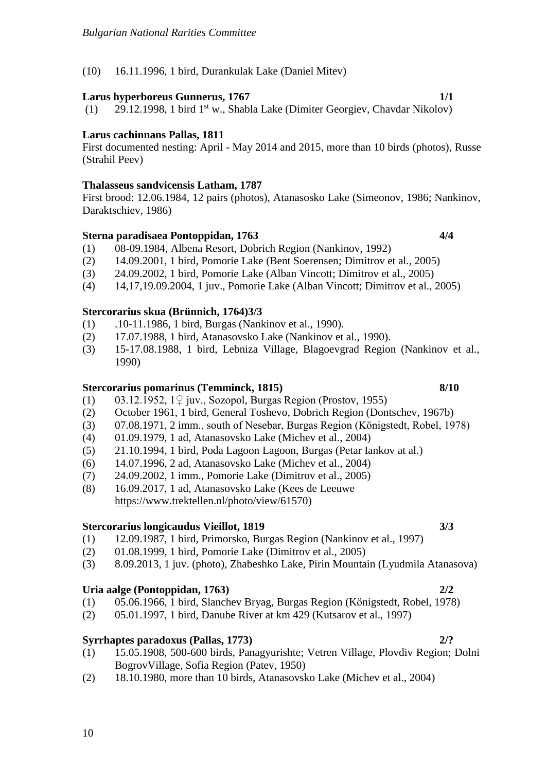# (10) 16.11.1996, 1 bird, Durankulak Lake (Daniel Mitev)

## **Larus hyperboreus Gunnerus, 1767 1/1**

(1) 29.12.1998, 1 bird 1<sup>st</sup> w., Shabla Lake (Dimiter Georgiev, Chavdar Nikolov)

## **Larus cachinnans Pallas, 1811**

First documented nesting: April - May 2014 and 2015, more than 10 birds (photos), Russe (Strahil Peev)

### **Thalasseus sandvicensis Latham, 1787**

First brood: 12.06.1984, 12 pairs (photos), Atanasosko Lake (Simeonov, 1986; Nankinov, Daraktschiev, 1986)

### **Sterna paradisaea Pontoppidan, 1763 4/4**

- (1) 08-09.1984, Albena Resort, Dobrich Region (Nankinov, 1992)
- (2) 14.09.2001, 1 bird, Pomorie Lake (Bent Soerensen; Dimitrov et al., 2005)
- (3) 24.09.2002, 1 bird, Pomorie Lake (Alban Vincott; Dimitrov et al., 2005)
- (4) 14,17,19.09.2004, 1 juv., Pomorie Lake (Alban Vincott; Dimitrov et al., 2005)

### **Stercorarius skua (Brünnich, 1764)3/3**

- (1) .10-11.1986, 1 bird, Burgas (Nankinov et al., 1990).
- (2) 17.07.1988, 1 bird, Atanasovsko Lake (Nankinov et al., 1990).
- (3) 15-17.08.1988, 1 bird, Lebniza Village, Blagoevgrad Region (Nankinov et al., 1990)

## **Stercorarius pomarinus (Temminck, 1815) 8/10**

- (1) 03.12.1952, 1♀ juv., Sozopol, Burgas Region (Prostov, 1955)
- (2) October 1961, 1 bird, General Toshevo, Dobrich Region (Dontschev, 1967b)
- (3) 07.08.1971, 2 imm., south of Nesebar, Burgas Region (Königstedt, Robel, 1978)
- (4) 01.09.1979, 1 ad, Atanasovsko Lake (Michev et al., 2004)
- (5) 21.10.1994, 1 bird, Poda Lagoon Lagoon, Burgas (Petar Iankov at al.)
- (6) 14.07.1996, 2 ad, Atanasovsko Lake (Michev et al., 2004)
- (7) 24.09.2002, 1 imm., Pomorie Lake (Dimitrov et al., 2005)
- (8) 16.09.2017, 1 ad, Atanasovsko Lake (Kees de Leeuwe [https://www.trektellen.nl/photo/view/61570\)](https://www.trektellen.nl/photo/view/61570)

### **Stercorarius longicaudus Vieillot, 1819 3/3**

- (1) 12.09.1987, 1 bird, Primorsko, Burgas Region (Nankinov et al., 1997)
- (2) 01.08.1999, 1 bird, Pomorie Lake (Dimitrov et al., 2005)
- (3) 8.09.2013, 1 juv. (photo), Zhabeshko Lake, Pirin Mountain (Lyudmila Atanasova)

### **Uria aalge (Pontoppidan, 1763) 2/2**

- (1) 05.06.1966, 1 bird, Slanchev Bryag, Burgas Region (Königstedt, Robel, 1978)
- (2) 05.01.1997, 1 bird, Danube River at km 429 (Kutsarov et al., 1997)

### **Syrrhaptes paradoxus (Pallas, 1773) 2/?**

- (1) 15.05.1908, 500-600 birds, Panagyurishte; Vetren Village, Plovdiv Region; Dolni BogrovVillage, Sofia Region (Patev, 1950)
- (2) 18.10.1980, more than 10 birds, Atanasovsko Lake (Michev et al., 2004)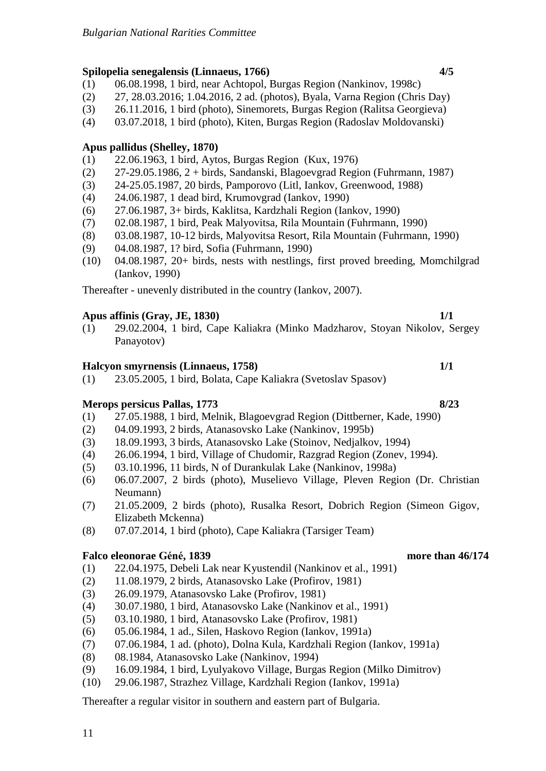## **Spilopelia senegalensis (Linnaeus, 1766) 4/5**

- (1) 06.08.1998, 1 bird, near Achtopol, Burgas Region (Nankinov, 1998c)
- (2) 27, 28.03.2016; 1.04.2016, 2 ad. (photos), Byala, Varna Region (Chris Day)
- (3) 26.11.2016, 1 bird (photo), Sinemorets, Burgas Region (Ralitsa Georgieva)
- (4) 03.07.2018, 1 bird (photo), Kiten, Burgas Region (Radoslav Moldovanski)

## **Apus pallidus (Shelley, 1870)**

- (1) 22.06.1963, 1 bird, Aytos, Burgas Region (Kux, 1976)
- (2) 27-29.05.1986, 2 + birds, Sandanski, Blagoevgrad Region (Fuhrmann, 1987)
- (3) 24-25.05.1987, 20 birds, Pamporovo (Litl, Iankov, Greenwood, 1988)
- (4) 24.06.1987, 1 dead bird, Krumovgrad (Iankov, 1990)
- (6) 27.06.1987, 3+ birds, Kaklitsa, Kardzhali Region (Iankov, 1990)
- (7) 02.08.1987, 1 bird, Peak Malyovitsa, Rila Mountain (Fuhrmann, 1990)
- (8) 03.08.1987, 10-12 birds, Malyovitsa Resort, Rila Mountain (Fuhrmann, 1990)
- (9) 04.08.1987, 1? bird, Sofia (Fuhrmann, 1990)
- (10) 04.08.1987, 20+ birds, nests with nestlings, first proved breeding, Momchilgrad (Iankov, 1990)

Thereafter - unevenly distributed in the country (Iankov, 2007).

### **Apus affinis (Gray, JE, 1830) 1/1**

(1) 29.02.2004, 1 bird, Cape Kaliakra (Minko Madzharov, Stoyan Nikolov, Sergey Panayotov)

### **Halcyon smyrnensis (Linnaeus, 1758) 1/1**

(1) 23.05.2005, 1 bird, Bolata, Cape Kaliakra (Svetoslav Spasov)

## **Merops persicus Pallas, 1773 8/23**

- (1) 27.05.1988, 1 bird, Melnik, Blagoevgrad Region (Dittberner, Kade, 1990)
- (2) 04.09.1993, 2 birds, Atanasovsko Lake (Nankinov, 1995b)
- (3) 18.09.1993, 3 birds, Atanasovsko Lake (Stoinov, Nedjalkov, 1994)
- (4) 26.06.1994, 1 bird, Village of Chudomir, Razgrad Region (Zonev, 1994).
- (5) 03.10.1996, 11 birds, N of Durankulak Lake (Nankinov, 1998a)
- (6) 06.07.2007, 2 birds (photo), Muselievo Village, Pleven Region (Dr. Christian Neumann)
- (7) 21.05.2009, 2 birds (photo), Rusalka Resort, Dobrich Region (Simeon Gigov, Elizabeth Mckenna)
- (8) 07.07.2014, 1 bird (photo), Cape Kaliakra (Tarsiger Team)

### **Falco eleonorae Géné, 1839 more than 46/174**

- (1) 22.04.1975, Debeli Lak near Kyustendil (Nankinov et al., 1991)
- (2) 11.08.1979, 2 birds, Atanasovsko Lake (Profirov, 1981)
- (3) 26.09.1979, Atanasovsko Lake (Profirov, 1981)
- (4) 30.07.1980, 1 bird, Atanasovsko Lake (Nankinov et al., 1991)
- (5) 03.10.1980, 1 bird, Atanasovsko Lake (Profirov, 1981)
- (6) 05.06.1984, 1 ad., Silen, Haskovo Region (Iankov, 1991a)
- (7) 07.06.1984, 1 ad. (photo), Dolna Kula, Kardzhali Region (Iankov, 1991a)
- (8) 08.1984, Atanasovsko Lake (Nankinov, 1994)
- (9) 16.09.1984, 1 bird, Lyulyakovo Village, Burgas Region (Milko Dimitrov)
- (10) 29.06.1987, Strazhez Village, Kardzhali Region (Iankov, 1991a)

Thereafter a regular visitor in southern and eastern part of Bulgaria.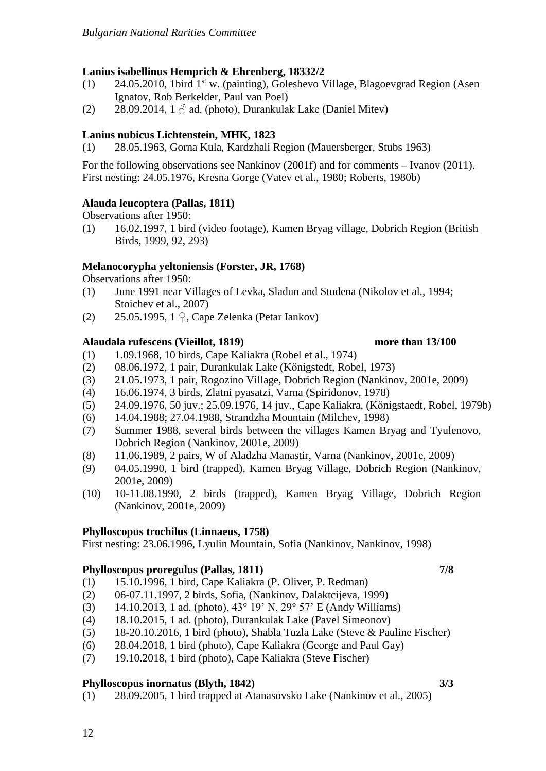# **Lanius isabellinus Hemprich & Ehrenberg, 18332/2**

- (1) 24.05.2010, 1bird 1<sup>st</sup> w. (painting), Goleshevo Village, Blagoevgrad Region (Asen Ignatov, Rob Berkelder, Paul van Poel)
- (2) 28.09.2014,  $1 \delta$  ad. (photo), Durankulak Lake (Daniel Mitev)

# **Lanius nubicus Lichtenstein, MHK, 1823**

(1) 28.05.1963, Gorna Kula, Kardzhali Region (Mauersberger, Stubs 1963)

For the following observations see Nankinov (2001f) and for comments – Ivanov (2011). First nesting: 24.05.1976, Kresna Gorge (Vatev et al., 1980; Roberts, 1980b)

# **Alauda leucoptera (Pallas, 1811)**

Observations after 1950:

(1) 16.02.1997, 1 bird (video footage), Kamen Bryag village, Dobrich Region (British Birds, 1999, 92, 293)

## **Melanocorypha yeltoniensis (Forster, JR, 1768)**

Observations after 1950:

- (1) June 1991 near Villages of Levka, Sladun and Studena (Nikolov et al., 1994; Stoichev et al., 2007)
- (2) 25.05.1995, 1 ♀, Cape Zelenka (Petar Iankov)

### **Alaudala rufescens (Vieillot, 1819) more than 13/100**

- (1) 1.09.1968, 10 birds, Cape Kaliakra (Robel et al., 1974)
- (2) 08.06.1972, 1 pair, Durankulak Lake (Königstedt, Robel, 1973)
- (3) 21.05.1973, 1 pair, Rogozino Village, Dobrich Region (Nankinov, 2001e, 2009)
- (4) 16.06.1974, 3 birds, Zlatni pyasatzi, Varna (Spiridonov, 1978)
- (5) 24.09.1976, 50 juv.; 25.09.1976, 14 juv., Cape Kaliakra, (Königstaedt, Robel, 1979b)
- (6) 14.04.1988; 27.04.1988, Strandzha Mountain (Milchev, 1998)
- (7) Summer 1988, several birds between the villages Kamen Bryag and Tyulenovo, Dobrich Region (Nankinov, 2001e, 2009)
- (8) 11.06.1989, 2 pairs, W of Aladzha Manastir, Varna (Nankinov, 2001e, 2009)
- (9) 04.05.1990, 1 bird (trapped), Kamen Bryag Village, Dobrich Region (Nankinov, 2001e, 2009)
- (10) 10-11.08.1990, 2 birds (trapped), Kamen Bryag Village, Dobrich Region (Nankinov, 2001e, 2009)

## **Phylloscopus trochilus (Linnaeus, 1758)**

First nesting: 23.06.1996, Lyulin Mountain, Sofia (Nankinov, Nankinov, 1998)

## **Phylloscopus proregulus (Pallas, 1811) 7/8**

- (1) 15.10.1996, 1 bird, Cape Kaliakra (P. Oliver, P. Redman)
- (2) 06-07.11.1997, 2 birds, Sofia, (Nankinov, Dalaktcijeva, 1999)
- (3) 14.10.2013, 1 ad. (photo), 43° 19' N, 29° 57' E (Andy Williams)
- (4) 18.10.2015, 1 ad. (photo), Durankulak Lake (Pavel Simeonov)
- (5) 18-20.10.2016, 1 bird (photo), Shabla Tuzla Lake (Steve & Pauline Fischer)
- (6) 28.04.2018, 1 bird (photo), Cape Kaliakra (George and Paul Gay)
- (7) 19.10.2018, 1 bird (photo), Cape Kaliakra (Steve Fischer)

## **Phylloscopus inornatus (Blyth, 1842) 3/3**

(1) 28.09.2005, 1 bird trapped at Atanasovsko Lake (Nankinov et al., 2005)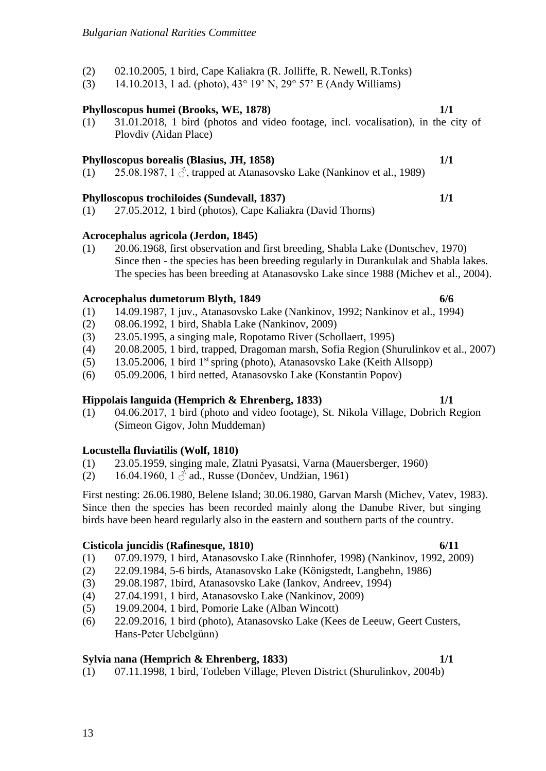# **Locustella fluviatilis (Wolf, 1810)**

- (1) 23.05.1959, singing male, Zlatni Pyasatsi, Varna (Mauersberger, 1960)
- (2) 16.04.1960, 1  $\Diamond$  ad., Russe (Dončev, Undžian, 1961)

First nesting: 26.06.1980, Belene Island; 30.06.1980, Garvan Marsh (Michev, Vatev, 1983). Since then the species has been recorded mainly along the Danube River, but singing birds have been heard regularly also in the eastern and southern parts of the country.

# **Cisticola juncidis (Rafinesque, 1810) 6/11**

- (1) 07.09.1979, 1 bird, Atanasovsko Lake (Rinnhofer, 1998) (Nankinov, 1992, 2009)
- (2) 22.09.1984, 5-6 birds, Atanasovsko Lake (Königstedt, Langbehn, 1986)
- (3) 29.08.1987, 1bird, Atanasovsko Lake (Iankov, Andreev, 1994)
- (4) 27.04.1991, 1 bird, Atanasovsko Lake (Nankinov, 2009)
- (5) 19.09.2004, 1 bird, Pomorie Lake (Alban Wincott)
- (6) 22.09.2016, 1 bird (photo), Atanasovsko Lake (Kees de Leeuw, Geert Custers, Hans-Peter Uebelgünn)

## **Sylvia nana (Hemprich & Ehrenberg, 1833) 1/1**

(1) 07.11.1998, 1 bird, Totleben Village, Pleven District (Shurulinkov, 2004b)

- *Bulgarian National Rarities Committee*
- (2) 02.10.2005, 1 bird, Cape Kaliakra (R. Jolliffe, R. Newell, R.Tonks)
- (3) 14.10.2013, 1 ad. (photo), 43° 19' N, 29° 57' E (Andy Williams)

# **Phylloscopus humei (Brooks, WE, 1878) 1/1**

(1) 31.01.2018, 1 bird (photos and video footage, incl. vocalisation), in the city of Plovdiv (Aidan Place)

# **Phylloscopus borealis (Blasius, JH, 1858) 1/1**

(1) 25.08.1987, 1  $\Diamond$ , trapped at Atanasovsko Lake (Nankinov et al., 1989)

# **Phylloscopus trochiloides (Sundevall, 1837) 1/1**

(1) 27.05.2012, 1 bird (photos), Cape Kaliakra (David Thorns)

# **Acrocephalus agricola (Jerdon, 1845)**

(1) 20.06.1968, first observation and first breeding, Shabla Lake (Dontschev, 1970) Since then - the species has been breeding regularly in Durankulak and Shabla lakes. The species has been breeding at Atanasovsko Lake since 1988 (Michev et al., 2004).

# **Acrocephalus dumetorum Blyth, 1849 6/6**

- (1) 14.09.1987, 1 juv., Atanasovsko Lake (Nankinov, 1992; Nankinov et al., 1994)
- (2) 08.06.1992, 1 bird, Shabla Lake (Nankinov, 2009)
- (3) 23.05.1995, a singing male, Ropotamo River (Schollaert, 1995)
- (4) 20.08.2005, 1 bird, trapped, Dragoman marsh, Sofia Region (Shurulinkov et al., 2007)
- (5) 13.05.2006, 1 bird 1<sup>st</sup> spring (photo), Atanasovsko Lake (Keith Allsopp)
- (6) 05.09.2006, 1 bird netted, Atanasovsko Lake (Konstantin Popov)

# **Hippolais languida (Hemprich & Ehrenberg, 1833) 1/1**

(1) 04.06.2017, 1 bird (photo and video footage), St. Nikola Village, Dobrich Region (Simeon Gigov, John Muddeman)

- 
-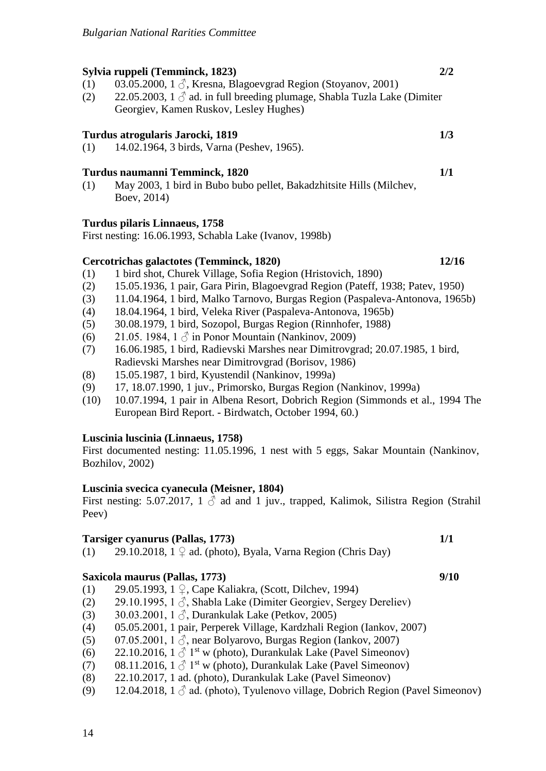# **Sylvia ruppeli (Temminck, 1823) 2/2**

- (1) 03.05.2000, 1  $\delta$ , Kresna, Blagoevgrad Region (Stoyanov, 2001)
- (2) 22.05.2003, 1  $\Diamond$  ad. in full breeding plumage, Shabla Tuzla Lake (Dimiter Georgiev, Kamen Ruskov, Lesley Hughes)

# **Turdus atrogularis Jarocki, 1819 1/3**

(1) 14.02.1964, 3 birds, Varna (Peshev, 1965).

# **Turdus naumanni Temminck, 1820 1/1**

(1) May 2003, 1 bird in Bubo bubo pellet, Bakadzhitsite Hills (Milchev, Boev, 2014)

# **Turdus pilaris Linnaeus, 1758**

First nesting: 16.06.1993, Schabla Lake (Ivanov, 1998b)

# **Cercotrichas galactotes (Temminck, 1820) 12/16**

- (1) 1 bird shot, Churek Village, Sofia Region (Hristovich, 1890)
- (2) 15.05.1936, 1 pair, Gara Pirin, Blagoevgrad Region (Pateff, 1938; Patev, 1950)
- (3) 11.04.1964, 1 bird, Malko Tarnovo, Burgas Region (Paspaleva-Antonova, 1965b)
- (4) 18.04.1964, 1 bird, Veleka River (Paspaleva-Antonova, 1965b)
- (5) 30.08.1979, 1 bird, Sozopol, Burgas Region (Rinnhofer, 1988)
- (6) 21.05. 1984, 1  $\circled{}$  in Ponor Mountain (Nankinov, 2009)
- (7) 16.06.1985, 1 bird, Radievski Marshes near Dimitrovgrad; 20.07.1985, 1 bird, Radievski Marshes near Dimitrovgrad (Borisov, 1986)
- (8) 15.05.1987, 1 bird, Kyustendil (Nankinov, 1999a)
- (9) 17, 18.07.1990, 1 juv., Primorsko, Burgas Region (Nankinov, 1999a)
- (10) 10.07.1994, 1 pair in Albena Resort, Dobrich Region (Simmonds et al., 1994 The European Bird Report. - Birdwatch, October 1994, 60.)

## **Luscinia luscinia (Linnaeus, 1758)**

First documented nesting: 11.05.1996, 1 nest with 5 eggs, Sakar Mountain (Nankinov, Bozhilov, 2002)

## **Luscinia svecica cyanecula (Meisner, 1804)**

First nesting: 5.07.2017, 1  $\beta$  ad and 1 juv., trapped, Kalimok, Silistra Region (Strahil Peev)

## **Tarsiger cyanurus (Pallas, 1773) 1/1**

(1) 29.10.2018,  $1 \nsubseteq$  ad. (photo), Byala, Varna Region (Chris Day)

# **Saxicola maurus (Pallas, 1773) 9/10**

- (1) 29.05.1993, 1 ♀, Cape Kaliakra, (Scott, Dilchev, 1994)
- (2) 29.10.1995, 1  $\Diamond$ , Shabla Lake (Dimiter Georgiev, Sergey Dereliev)
- (3) 30.03.2001, 1  $\Diamond$ , Durankulak Lake (Petkov, 2005)
- (4) 05.05.2001, 1 pair, Perperek Village, Kardzhali Region (Iankov, 2007)
- (5) 07.05.2001, 1  $\beta$ , near Bolyarovo, Burgas Region (Iankov, 2007)
- (6) 22.10.2016,  $1 \delta^{1st}$  w (photo), Durankulak Lake (Pavel Simeonov)
- (7) 08.11.2016,  $1 \text{ } \textcircled{}^{\textcircled{}} 1^{\text{st}}$  w (photo), Durankulak Lake (Pavel Simeonov)
- (8) 22.10.2017, 1 ad. (photo), Durankulak Lake (Pavel Simeonov)
- (9) 12.04.2018, 1  $\Diamond$  ad. (photo), Tyulenovo village, Dobrich Region (Pavel Simeonov)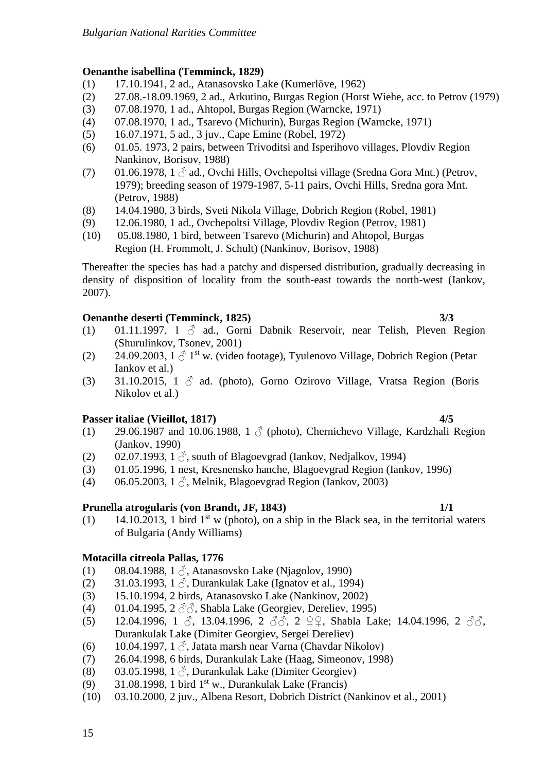## **Oenanthe isabellina (Temminck, 1829)**

- (1) 17.10.1941, 2 ad., Atanasovsko Lake (Kumerlöve, 1962)
- (2) 27.08.-18.09.1969, 2 ad., Arkutino, Burgas Region (Horst Wiehe, acc. to Petrov (1979)
- (3) 07.08.1970, 1 ad., Ahtopol, Burgas Region (Warncke, 1971)
- (4) 07.08.1970, 1 ad., Tsarevo (Michurin), Burgas Region (Warncke, 1971)
- (5) 16.07.1971, 5 ad., 3 juv., Cape Emine (Robel, 1972)
- (6) 01.05. 1973, 2 pairs, between Trivoditsi and Isperihovo villages, Plovdiv Region Nankinov, Borisov, 1988)
- (7) 01.06.1978, 1  $\Diamond$  ad., Ovchi Hills, Ovchepoltsi village (Sredna Gora Mnt.) (Petrov, 1979); breeding season of 1979-1987, 5-11 pairs, Ovchi Hills, Sredna gora Mnt. (Petrov, 1988)
- (8) 14.04.1980, 3 birds, Sveti Nikola Village, Dobrich Region (Robel, 1981)
- (9) 12.06.1980, 1 ad., Ovchepoltsi Village, Plovdiv Region (Petrov, 1981)
- (10) 05.08.1980, 1 bird, between Tsarevo (Michurin) and Ahtopol, Burgas Region (H. Frommolt, J. Schult) (Nankinov, Borisov, 1988)

Thereafter the species has had a patchy and dispersed distribution, gradually decreasing in density of disposition of locality from the south-east towards the north-west (Iankov, 2007).

# **Oenanthe deserti (Temminck, 1825) 3/3**

- (1) 01.11.1997, 1  $\delta$  ad., Gorni Dabnik Reservoir, near Telish, Pleven Region (Shurulinkov, Tsonev, 2001)
- (2) 24.09.2003,  $1 \text{ }\mathcal{E}$  1<sup>st</sup> w. (video footage), Tyulenovo Village, Dobrich Region (Petar Iankov et al.)
- (3) 31.10.2015, 1  $\delta$  ad. (photo), Gorno Ozirovo Village, Vratsa Region (Boris Nikolov et al.)

# **Passer italiae (Vieillot, 1817) 4/5**

- (1) 29.06.1987 and 10.06.1988, 1  $\beta$  (photo), Chernichevo Village, Kardzhali Region (Jankov, 1990)
- (2) 02.07.1993, 1  $\delta$ , south of Blagoevgrad (Iankov, Nedjalkov, 1994)
- (3) 01.05.1996, 1 nest, Kresnensko hanche, Blagoevgrad Region (Iankov, 1996)
- (4) 06.05.2003, 1  $\Diamond$ , Melnik, Blagoevgrad Region (Iankov, 2003)

# **Prunella atrogularis (von Brandt, JF, 1843) 1/1**

(1) 14.10.2013, 1 bird  $1<sup>st</sup>$  w (photo), on a ship in the Black sea, in the territorial waters of Bulgaria (Andy Williams)

# **Motacilla citreola Pallas, 1776**

- (1) 08.04.1988, 1  $\delta$ , Atanasovsko Lake (Njagolov, 1990)
- (2) 31.03.1993, 1  $\Diamond$ , Durankulak Lake (Ignatov et al., 1994)
- (3) 15.10.1994, 2 birds, Atanasovsko Lake (Nankinov, 2002)
- (4) 01.04.1995,  $2 \angle 3$ , Shabla Lake (Georgiev, Dereliev, 1995)
- (5) 12.04.1996, 1  $\delta$ , 13.04.1996, 2  $\delta\bar{\delta}$ , 2  $\Omega$ , Shabla Lake; 14.04.1996, 2  $\delta\delta$ , Durankulak Lake (Dimiter Georgiev, Sergei Dereliev)
- (6) 10.04.1997, 1  $\beta$ , Jatata marsh near Varna (Chavdar Nikolov)
- (7) 26.04.1998, 6 birds, Durankulak Lake (Haag, Simeonov, 1998)
- (8) 03.05.1998, 1  $\Diamond$ , Durankulak Lake (Dimiter Georgiev)
- (9) 31.08.1998, 1 bird  $1<sup>st</sup>$  w., Durankulak Lake (Francis)
- (10) 03.10.2000, 2 juv., Albena Resort, Dobrich District (Nankinov et al., 2001)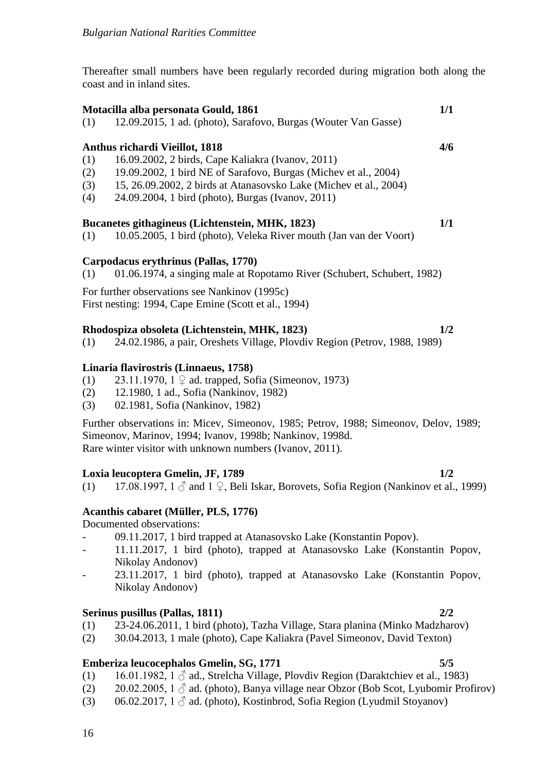Thereafter small numbers have been regularly recorded during migration both along the coast and in inland sites.

## **Motacilla alba personata Gould, 1861 1/1**

(1) 12.09.2015, 1 ad. (photo), Sarafovo, Burgas (Wouter Van Gasse)

### **Anthus richardi Vieillot, 1818 4/6**

- (1) 16.09.2002, 2 birds, Cape Kaliakra (Ivanov, 2011)
- (2) 19.09.2002, 1 bird NE of Sarafovo, Burgas (Michev et al., 2004)
- (3) 15, 26.09.2002, 2 birds at Atanasovsko Lake (Michev et al., 2004)
- (4) 24.09.2004, 1 bird (photo), Burgas (Ivanov, 2011)

### **Bucanetes githagineus (Lichtenstein, MHK, 1823) 1/1**

(1) 10.05.2005, 1 bird (photo), Veleka River mouth (Jan van der Voort)

### **Carpodacus erythrinus (Pallas, 1770)**

(1) 01.06.1974, a singing male at Ropotamo River (Schubert, Schubert, 1982)

For further observations see Nankinov (1995c)

First nesting: 1994, Cape Emine (Scott et al., 1994)

### **Rhodospiza obsoleta (Lichtenstein, MHK, 1823) 1/2**

(1) 24.02.1986, a pair, Oreshets Village, Plovdiv Region (Petrov, 1988, 1989)

### **Linaria flavirostris (Linnaeus, 1758)**

- (1) 23.11.1970,  $1 \nsubseteq$  ad. trapped, Sofia (Simeonov, 1973)
- (2) 12.1980, 1 ad., Sofia (Nankinov, 1982)
- (3) 02.1981, Sofia (Nankinov, 1982)

Further observations in: Micev, Simeonov, 1985; Petrov, 1988; Simeonov, Delov, 1989; Simeonov, Marinov, 1994; Ivanov, 1998b; Nankinov, 1998d. Rare winter visitor with unknown numbers (Ivanov, 2011).

### **Loxia leucoptera Gmelin, JF, 1789 1/2**

(1) 17.08.1997,  $1 \land$  and  $1 \lor$ , Beli Iskar, Borovets, Sofia Region (Nankinov et al., 1999)

## **Acanthis cabaret (Müller, PLS, 1776)**

## Documented observations:

- 09.11.2017, 1 bird trapped at Atanasovsko Lake (Konstantin Popov).
- 11.11.2017, 1 bird (photo), trapped at Atanasovsko Lake (Konstantin Popov, Nikolay Andonov)
- 23.11.2017, 1 bird (photo), trapped at Atanasovsko Lake (Konstantin Popov, Nikolay Andonov)

### **Serinus pusillus (Pallas, 1811) 2/2**

- (1) 23-24.06.2011, 1 bird (photo), Tazha Village, Stara planina (Minko Madzharov)
- (2) 30.04.2013, 1 male (photo), Cape Kaliakra (Pavel Simeonov, David Texton)

### **Emberiza leucocephalos Gmelin, SG, 1771 5/5**

- (1) 16.01.1982, 1  $\Diamond$  ad., Strelcha Village, Plovdiv Region (Daraktchiev et al., 1983)
- (2) 20.02.2005,  $1 \circled{2}$  ad. (photo), Banya village near Obzor (Bob Scot, Lyubomir Profirov)
- (3) 06.02.2017,  $1 \land$  ad. (photo), Kostinbrod, Sofia Region (Lyudmil Stoyanov)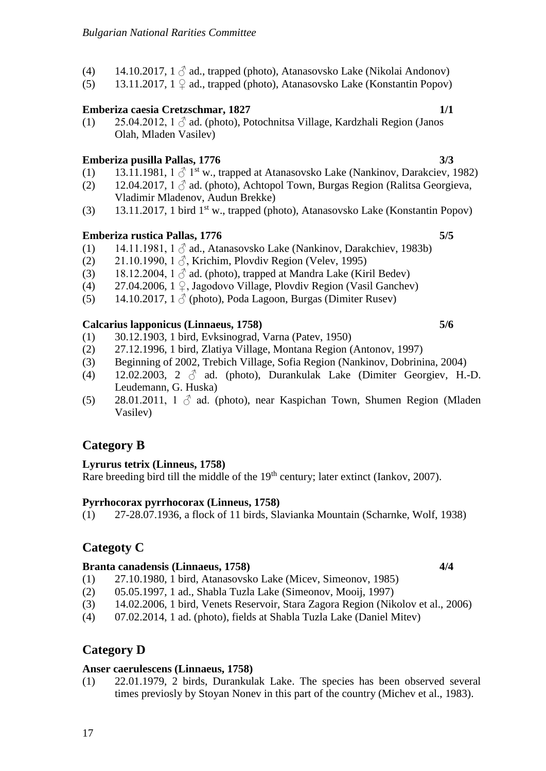- (4) 14.10.2017, 1  $\Diamond$  ad., trapped (photo), Atanasovsko Lake (Nikolai Andonov)
- (5) 13.11.2017,  $1 \nsubseteq ad$ , trapped (photo), Atanasovsko Lake (Konstantin Popov)

# **Emberiza caesia Cretzschmar, 1827 1/1**

(1) 25.04.2012, 1  $\Diamond$  ad. (photo), Potochnitsa Village, Kardzhali Region (Janos Olah, Mladen Vasilev)

# **Emberiza pusilla Pallas, 1776 3/3**

- (1) 13.11.1981,  $1 \beta$  1<sup>st</sup> w., trapped at Atanasovsko Lake (Nankinov, Darakciev, 1982)
- (2) 12.04.2017,  $1 \delta$  ad. (photo), Achtopol Town, Burgas Region (Ralitsa Georgieva, Vladimir Mladenov, Audun Brekke)
- (3) 13.11.2017, 1 bird 1st w., trapped (photo), Atanasovsko Lake (Konstantin Popov)

# **Emberiza rustica Pallas, 1776 5/5**

- (1) 14.11.1981, 1  $\beta$  ad., Atanasovsko Lake (Nankinov, Darakchiev, 1983b)
- (2) 21.10.1990, 1  $\delta$ , Krichim, Plovdiv Region (Velev, 1995)
- (3) 18.12.2004,  $1 \circ$  ad. (photo), trapped at Mandra Lake (Kiril Bedev)
- (4) 27.04.2006,  $1 \nsubseteq$ , Jagodovo Village, Plovdiv Region (Vasil Ganchev)
- (5) 14.10.2017, 1  $\delta$  (photo), Poda Lagoon, Burgas (Dimiter Rusev)

# **Calcarius lapponicus (Linnaeus, 1758) 5/6**

- (1) 30.12.1903, 1 bird, Evksinograd, Varna (Patev, 1950)
- (2) 27.12.1996, 1 bird, Zlatiya Village, Montana Region (Antonov, 1997)
- (3) Beginning of 2002, Trebich Village, Sofia Region (Nankinov, Dobrinina, 2004)
- (4) 12.02.2003, 2  $\delta$  ad. (photo), Durankulak Lake (Dimiter Georgiev, H.-D. Leudemann, G. Huska)
- (5) 28.01.2011, 1  $\delta$  ad. (photo), near Kaspichan Town, Shumen Region (Mladen Vasilev)

# **Category B**

# **Lyrurus tetrix (Linneus, 1758)**

Rare breeding bird till the middle of the 19<sup>th</sup> century; later extinct (Iankov, 2007).

# **Pyrrhocorax pyrrhocorax (Linneus, 1758)**

(1) 27-28.07.1936, a flock of 11 birds, Slavianka Mountain (Scharnke, Wolf, 1938)

# **Categoty C**

# **Branta canadensis (Linnaeus, 1758) 4/4**

- (1) 27.10.1980, 1 bird, Atanasovsko Lake (Micev, Simeonov, 1985)
- (2) 05.05.1997, 1 ad., Shabla Tuzla Lake (Simeonov, Mooij, 1997)
- (3) 14.02.2006, 1 bird, Venets Reservoir, Stara Zagora Region (Nikolov et al., 2006)
- (4) 07.02.2014, 1 ad. (photo), fields at Shabla Tuzla Lake (Daniel Mitev)

# **Category D**

# **Anser caerulescens (Linnaeus, 1758)**

(1) 22.01.1979, 2 birds, Durankulak Lake. The species has been observed several times previosly by Stoyan Nonev in this part of the country (Michev et al., 1983).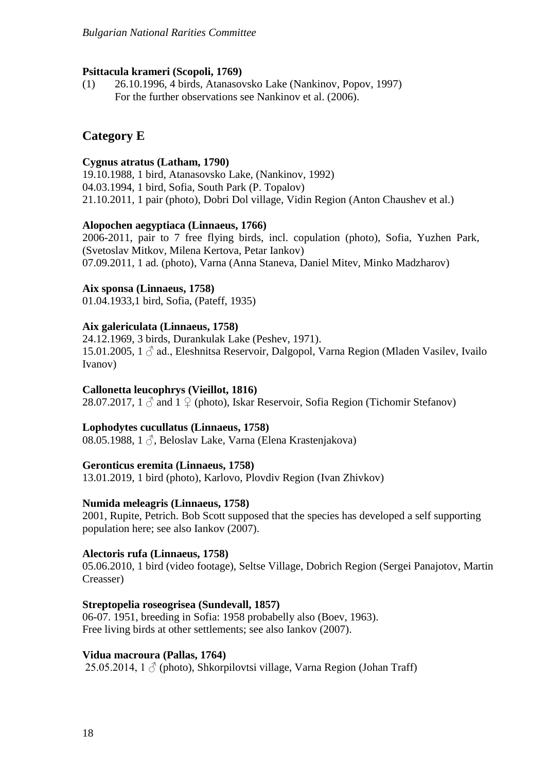#### **Psittacula krameri (Scopoli, 1769)**

(1) 26.10.1996, 4 birds, Atanasovsko Lake (Nankinov, Popov, 1997) For the further observations see Nankinov et al. (2006).

## **Category E**

#### **Cygnus atratus (Latham, 1790)**

19.10.1988, 1 bird, Atanasovsko Lake, (Nankinov, 1992) 04.03.1994, 1 bird, Sofia, South Park (P. Topalov) 21.10.2011, 1 pair (photo), Dobri Dol village, Vidin Region (Anton Chaushev et al.)

#### **Alopochen aegyptiaca (Linnaeus, 1766)**

2006-2011, pair to 7 free flying birds, incl. copulation (photo), Sofia, Yuzhen Park, (Svetoslav Mitkov, Milena Kertova, Petar Iankov) 07.09.2011, 1 ad. (photo), Varna (Anna Staneva, Daniel Mitev, Minko Madzharov)

#### **Aix sponsa (Linnaeus, 1758)**

01.04.1933,1 bird, Sofia, (Pateff, 1935)

#### **Aix galericulata (Linnaeus, 1758)**

24.12.1969, 3 birds, Durankulak Lake (Peshev, 1971). 15.01.2005, 1 ♂ ad., Eleshnitsa Reservoir, Dalgopol, Varna Region (Mladen Vasilev, Ivailo Ivanov)

#### **Callonetta leucophrys (Vieillot, 1816)**

28.07.2017,  $1 \circ$  and  $1 \circ$  (photo), Iskar Reservoir, Sofia Region (Tichomir Stefanov)

#### **Lophodytes cucullatus (Linnaeus, 1758)**

08.05.1988, 1 ∂, Beloslav Lake, Varna (Elena Krastenjakova)

#### **Geronticus eremita (Linnaeus, 1758)**

13.01.2019, 1 bird (photo), Karlovo, Plovdiv Region (Ivan Zhivkov)

#### **Numida meleagris (Linnaeus, 1758)**

2001, Rupite, Petrich. Bob Scott supposed that the species has developed a self supporting population here; see also Iankov (2007).

#### **Alectoris rufa (Linnaeus, 1758)**

05.06.2010, 1 bird (video footage), Seltse Village, Dobrich Region (Sergei Panajotov, Martin Creasser)

#### **Streptopelia roseogrisea (Sundevall, 1857)**

06-07. 1951, breeding in Sofia: 1958 probabelly also (Boev, 1963). Free living birds at other settlements; see also Iankov (2007).

#### **Vidua macroura (Pallas, 1764)**

25.05.2014, 1  $\Diamond$  (photo), Shkorpilovtsi village, Varna Region (Johan Traff)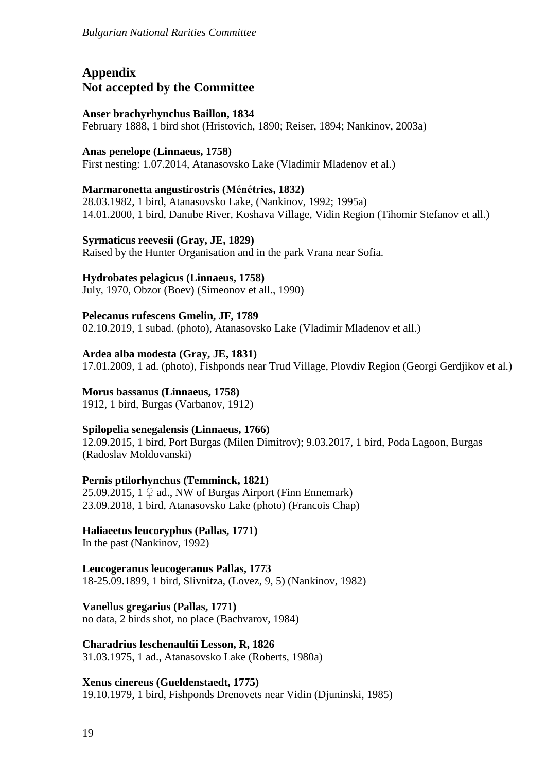# **Appendix Not accepted by the Committee**

## **Anser brachyrhynchus Baillon, 1834**

February 1888, 1 bird shot (Hristovich, 1890; Reiser, 1894; Nankinov, 2003a)

## **Anas penelope (Linnaeus, 1758)**

First nesting: 1.07.2014, Atanasovsko Lake (Vladimir Mladenov et al.)

## **Marmaronetta angustirostris (Ménétries, 1832)**

28.03.1982, 1 bird, Atanasovsko Lake, (Nankinov, 1992; 1995a) 14.01.2000, 1 bird, Danube River, Koshava Village, Vidin Region (Tihomir Stefanov et all.)

### **Syrmaticus reevesii (Gray, JE, 1829)**

Raised by the Hunter Organisation and in the park Vrana near Sofia.

## **Hydrobates pelagicus (Linnaeus, 1758)**

July, 1970, Obzor (Boev) (Simeonov et all., 1990)

### **Pelecanus rufescens Gmelin, JF, 1789**

02.10.2019, 1 subad. (photo), Atanasovsko Lake (Vladimir Mladenov et all.)

## **Ardea alba modesta (Gray, JE, 1831)**

17.01.2009, 1 ad. (photo), Fishponds near Trud Village, Plovdiv Region (Georgi Gerdjikov et al.)

## **Morus bassanus (Linnaeus, 1758)**

1912, 1 bird, Burgas (Varbanov, 1912)

## **Spilopelia senegalensis (Linnaeus, 1766)**

12.09.2015, 1 bird, Port Burgas (Milen Dimitrov); 9.03.2017, 1 bird, Poda Lagoon, Burgas (Radoslav Moldovanski)

## **Pernis ptilorhynchus (Temminck, 1821)**

25.09.2015,  $1 \nsubseteq ad$ ., NW of Burgas Airport (Finn Ennemark) 23.09.2018, 1 bird, Atanasovsko Lake (photo) (Francois Chap)

## **Haliaeetus leucoryphus (Pallas, 1771)**

In the past (Nankinov, 1992)

### **Leucogeranus leucogeranus Pallas, 1773** 18-25.09.1899, 1 bird, Slivnitza, (Lovez, 9, 5) (Nankinov, 1982)

**Vanellus gregarius (Pallas, 1771)** no data, 2 birds shot, no place (Bachvarov, 1984)

**Charadrius leschenaultii Lesson, R, 1826** 31.03.1975, 1 ad., Atanasovsko Lake (Roberts, 1980a)

## **Xenus cinereus (Gueldenstaedt, 1775)**

19.10.1979, 1 bird, Fishponds Drenovets near Vidin (Djuninski, 1985)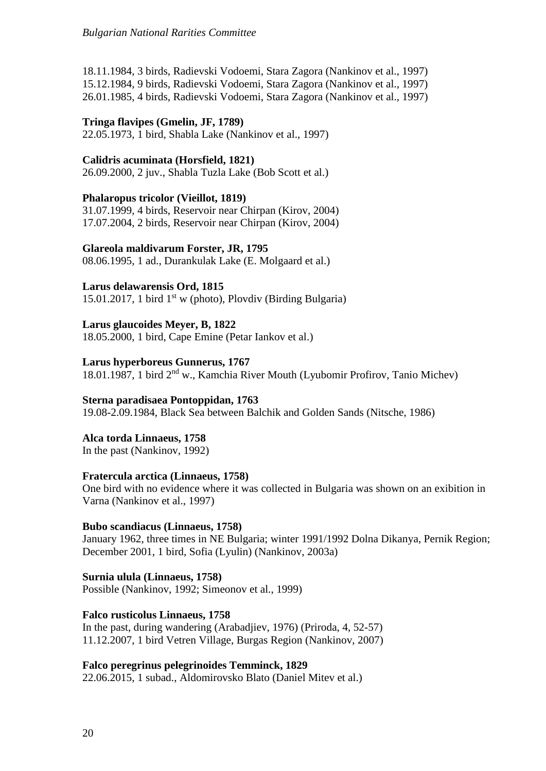18.11.1984, 3 birds, Radievski Vodoemi, Stara Zagora (Nankinov et al., 1997) 15.12.1984, 9 birds, Radievski Vodoemi, Stara Zagora (Nankinov et al., 1997) 26.01.1985, 4 birds, Radievski Vodoemi, Stara Zagora (Nankinov et al., 1997)

## **Tringa flavipes (Gmelin, JF, 1789)**

22.05.1973, 1 bird, Shabla Lake (Nankinov et al., 1997)

## **Calidris acuminata (Horsfield, 1821)**

26.09.2000, 2 juv., Shabla Tuzla Lake (Bob Scott et al.)

### **Phalaropus tricolor (Vieillot, 1819)**

31.07.1999, 4 birds, Reservoir near Chirpan (Kirov, 2004) 17.07.2004, 2 birds, Reservoir near Chirpan (Kirov, 2004)

### **Glareola maldivarum Forster, JR, 1795**

08.06.1995, 1 ad., Durankulak Lake (E. Molgaard et al.)

## **Larus delawarensis Ord, 1815**

15.01.2017, 1 bird  $1<sup>st</sup>$  w (photo), Plovdiv (Birding Bulgaria)

## **Larus glaucoides Meyer, B, 1822**

18.05.2000, 1 bird, Cape Emine (Petar Iankov et al.)

### **Larus hyperboreus Gunnerus, 1767**

18.01.1987, 1 bird 2nd w., Kamchia River Mouth (Lyubomir Profirov, Tanio Michev)

## **Sterna paradisaea Pontoppidan, 1763**

19.08-2.09.1984, Black Sea between Balchik and Golden Sands (Nitsche, 1986)

**Alca torda Linnaeus, 1758**

In the past (Nankinov, 1992)

## **Fratercula arctica (Linnaeus, 1758)**

One bird with no evidence where it was collected in Bulgaria was shown on an exibition in Varna (Nankinov et al., 1997)

## **Bubo scandiacus (Linnaeus, 1758)**

January 1962, three times in NE Bulgaria; winter 1991/1992 Dolna Dikanya, Pernik Region; December 2001, 1 bird, Sofia (Lyulin) (Nankinov, 2003a)

**Surnia ulula (Linnaeus, 1758)** Possible (Nankinov, 1992; Simeonov et al., 1999)

## **Falco rusticolus Linnaeus, 1758**

In the past, during wandering (Arabadjiev, 1976) (Priroda, 4, 52-57) 11.12.2007, 1 bird Vetren Village, Burgas Region (Nankinov, 2007)

### **Falco peregrinus pelegrinoides Temminck, 1829**

22.06.2015, 1 subad., Aldomirovsko Blato (Daniel Mitev et al.)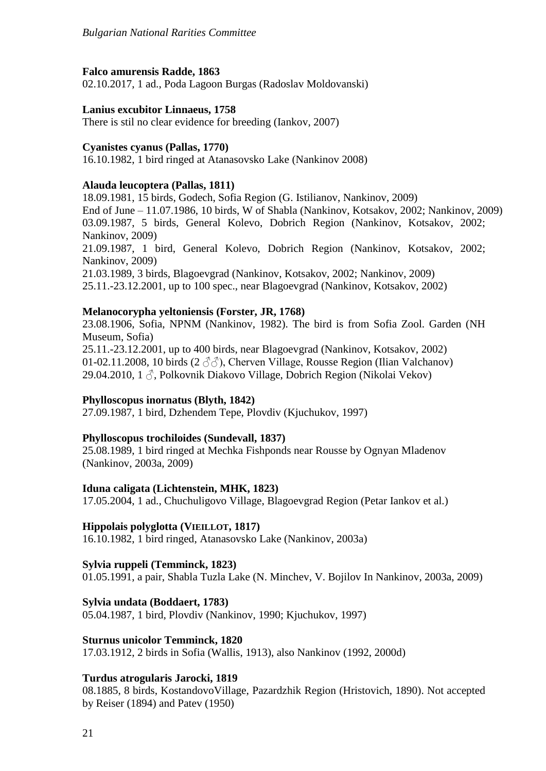### **Falco amurensis Radde, 1863**

02.10.2017, 1 ad., Poda Lagoon Burgas (Radoslav Moldovanski)

### **Lanius excubitor Linnaeus, 1758**

There is stil no clear evidence for breeding (Iankov, 2007)

### **Cyanistes cyanus (Pallas, 1770)**

16.10.1982, 1 bird ringed at Atanasovsko Lake (Nankinov 2008)

### **Alauda leucoptera (Pallas, 1811)**

18.09.1981, 15 birds, Godech, Sofia Region (G. Istilianov, Nankinov, 2009) End of June – 11.07.1986, 10 birds, W of Shabla (Nankinov, Kotsakov, 2002; Nankinov, 2009) 03.09.1987, 5 birds, General Kolevo, Dobrich Region (Nankinov, Kotsakov, 2002; Nankinov, 2009)

21.09.1987, 1 bird, General Kolevo, Dobrich Region (Nankinov, Kotsakov, 2002; Nankinov, 2009)

21.03.1989, 3 birds, Blagoevgrad (Nankinov, Kotsakov, 2002; Nankinov, 2009) 25.11.-23.12.2001, up to 100 spec., near Blagoevgrad (Nankinov, Kotsakov, 2002)

### **Melanocorypha yeltoniensis (Forster, JR, 1768)**

23.08.1906, Sofia, NPNM (Nankinov, 1982). The bird is from Sofia Zool. Garden (NH Museum, Sofia)

25.11.-23.12.2001, up to 400 birds, near Blagoevgrad (Nankinov, Kotsakov, 2002) 01-02.11.2008, 10 birds (2  $\langle \partial \phi \rangle$ ), Cherven Village, Rousse Region (Ilian Valchanov) 29.04.2010, 1 ♂, Polkovnik Diakovo Village, Dobrich Region (Nikolai Vekov)

### **Phylloscopus inornatus (Blyth, 1842)**

27.09.1987, 1 bird, Dzhendem Tepe, Plovdiv (Kjuchukov, 1997)

### **Phylloscopus trochiloides (Sundevall, 1837)**

25.08.1989, 1 bird ringed at Mechka Fishponds near Rousse by Ognyan Mladenov (Nankinov, 2003a, 2009)

### **Iduna caligata (Lichtenstein, MHK, 1823)**

17.05.2004, 1 ad., Chuchuligovo Village, Blagoevgrad Region (Petar Iankov et al.)

### **Hippolais polyglotta (VIEILLOT, 1817)**

16.10.1982, 1 bird ringed, Atanasovsko Lake (Nankinov, 2003a)

### **Sylvia ruppeli (Temminck, 1823)**

01.05.1991, a pair, Shabla Tuzla Lake (N. Minchev, V. Bojilov In Nankinov, 2003a, 2009)

### **Sylvia undata (Boddaert, 1783)**

05.04.1987, 1 bird, Plovdiv (Nankinov, 1990; Kjuchukov, 1997)

### **Sturnus unicolor Temminck, 1820**

17.03.1912, 2 birds in Sofia (Wallis, 1913), also Nankinov (1992, 2000d)

### **Turdus atrogularis Jarocki, 1819**

08.1885, 8 birds, KostandovoVillage, Pazardzhik Region (Hristovich, 1890). Not accepted by Reiser (1894) and Patev (1950)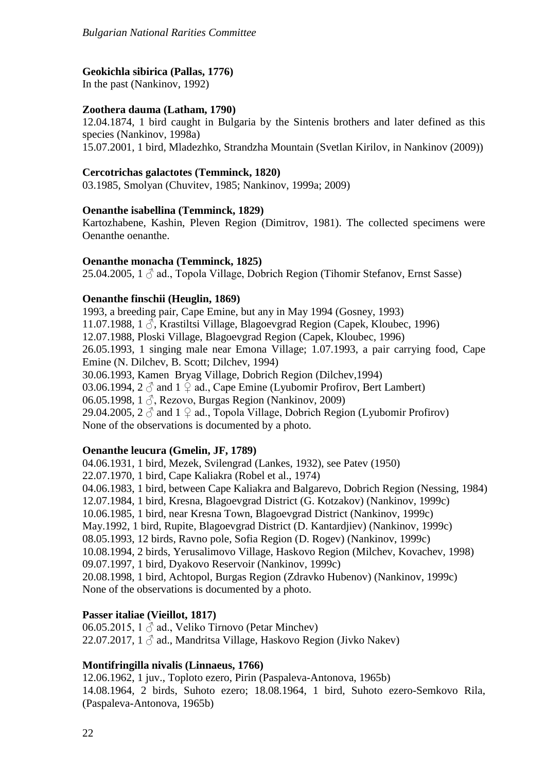### **Geokichla sibirica (Pallas, 1776)**

In the past (Nankinov, 1992)

## **Zoothera dauma (Latham, 1790)**

12.04.1874, 1 bird caught in Bulgaria by the Sintenis brothers and later defined as this species (Nankinov, 1998a) 15.07.2001, 1 bird, Mladezhko, Strandzha Mountain (Svetlan Kirilov, in Nankinov (2009))

### **Cercotrichas galactotes (Temminck, 1820)**

03.1985, Smolyan (Chuvitev, 1985; Nankinov, 1999a; 2009)

### **Oenanthe isabellina (Temminck, 1829)**

Kartozhabene, Kashin, Pleven Region (Dimitrov, 1981). The collected specimens were Oenanthe oenanthe.

### **Oenanthe monacha (Temminck, 1825)**

25.04.2005,  $1 \circ$  ad., Topola Village, Dobrich Region (Tihomir Stefanov, Ernst Sasse)

### **Oenanthe finschii (Heuglin, 1869)**

1993, a breeding pair, Cape Emine, but any in May 1994 (Gosney, 1993) 11.07.1988, 1  $\Diamond$ , Krastiltsi Village, Blagoevgrad Region (Capek, Kloubec, 1996) 12.07.1988, Ploski Village, Blagoevgrad Region (Capek, Kloubec, 1996) 26.05.1993, 1 singing male near Emona Village; 1.07.1993, a pair carrying food, Cape Emine (N. Dilchev, B. Scott; Dilchev, 1994) 30.06.1993, Kamen Bryag Village, Dobrich Region (Dilchev,1994) 03.06.1994, 2  $\Diamond$  and 1  $\Diamond$  ad., Cape Emine (Lyubomir Profirov, Bert Lambert) 06.05.1998, 1  $\Diamond$ , Rezovo, Burgas Region (Nankinov, 2009) 29.04.2005,  $2 \hat{\circ}$  and  $1 \hat{\circ}$  ad., Topola Village, Dobrich Region (Lyubomir Profirov) None of thе observations is documented by a photo.

## **Oenanthe leucura (Gmelin, JF, 1789)**

04.06.1931, 1 bird, Mezek, Svilengrad (Lankes, 1932), see Patev (1950) 22.07.1970, 1 bird, Cape Kaliakra (Robel et al., 1974) 04.06.1983, 1 bird, between Cape Kaliakra and Balgarevo, Dobrich Region (Nessing, 1984) 12.07.1984, 1 bird, Kresna, Blagoevgrad District (G. Kotzakov) (Nankinov, 1999c) 10.06.1985, 1 bird, near Kresna Town, Blagoevgrad District (Nankinov, 1999c) May.1992, 1 bird, Rupite, Blagoevgrad District (D. Kantardjiev) (Nankinov, 1999c) 08.05.1993, 12 birds, Ravno pole, Sofia Region (D. Rogev) (Nankinov, 1999c) 10.08.1994, 2 birds, Yerusalimovo Village, Haskovo Region (Milchev, Kovachev, 1998) 09.07.1997, 1 bird, Dyakovo Reservoir (Nankinov, 1999c) 20.08.1998, 1 bird, Achtopol, Burgas Region (Zdravko Hubenov) (Nankinov, 1999c) None of the observations is documented by a photo.

## **Passer italiae (Vieillot, 1817)**

06.05.2015, 1  $\delta$  ad., Veliko Tirnovo (Petar Minchev) 22.07.2017,  $1 \land$  ad., Mandritsa Village, Haskovo Region (Jivko Nakev)

## **Montifringilla nivalis (Linnaeus, 1766)**

12.06.1962, 1 juv., Toploto ezero, Pirin (Paspaleva-Antonova, 1965b) 14.08.1964, 2 birds, Suhoto ezero; 18.08.1964, 1 bird, Suhoto ezero-Semkovo Rila, (Paspaleva-Antonova, 1965b)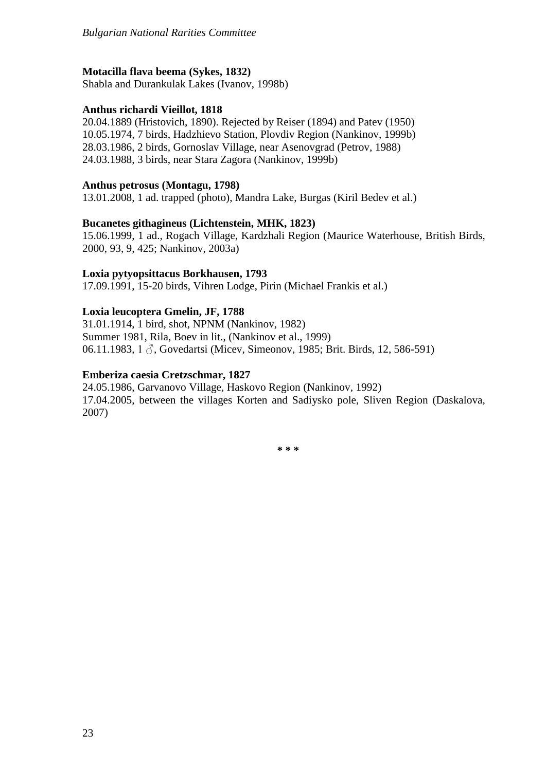## **Motacilla flava beema (Sykes, 1832)**

Shabla and Durankulak Lakes (Ivanov, 1998b)

## **Anthus richardi Vieillot, 1818**

20.04.1889 (Hristovich, 1890). Rejected by Reiser (1894) and Patev (1950) 10.05.1974, 7 birds, Hadzhievo Station, Plovdiv Region (Nankinov, 1999b) 28.03.1986, 2 birds, Gornoslav Village, near Asenovgrad (Petrov, 1988) 24.03.1988, 3 birds, near Stara Zagora (Nankinov, 1999b)

### **Anthus petrosus (Montagu, 1798)**

13.01.2008, 1 ad. trapped (photo), Mandra Lake, Burgas (Kiril Bedev et al.)

### **Bucanetes githagineus (Lichtenstein, MHK, 1823)**

15.06.1999, 1 ad., Rogach Village, Kardzhali Region (Maurice Waterhouse, British Birds, 2000, 93, 9, 425; Nankinov, 2003a)

### **Loxia pytyopsittacus Borkhausen, 1793**

17.09.1991, 15-20 birds, Vihren Lodge, Pirin (Michael Frankis et al.)

### **Loxia leucoptera Gmelin, JF, 1788**

31.01.1914, 1 bird, shot, NPNM (Nankinov, 1982) Summer 1981, Rila, Boev in lit., (Nankinov et al., 1999) 06.11.1983, 1  $\Diamond$ , Govedartsi (Micev, Simeonov, 1985; Brit. Birds, 12, 586-591)

### **Emberiza caesia Cretzschmar, 1827**

24.05.1986, Garvanovo Village, Haskovo Region (Nankinov, 1992) 17.04.2005, between the villages Korten and Sadiysko pole, Sliven Region (Daskalova, 2007)

**\* \* \***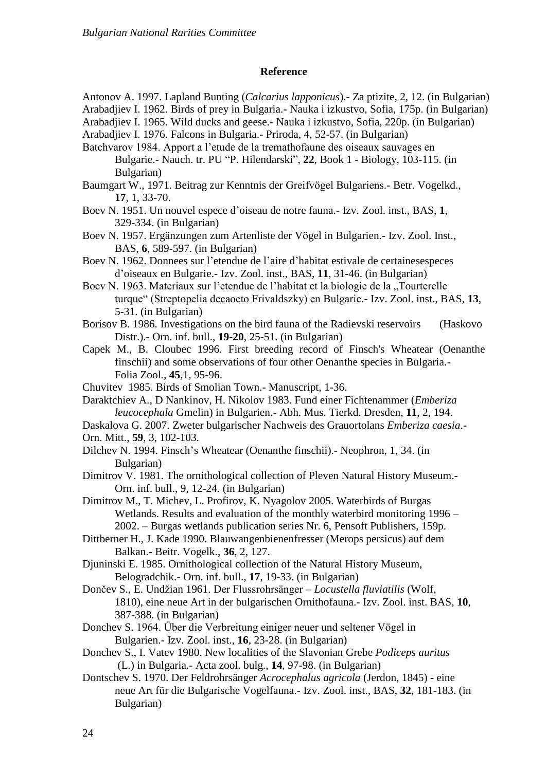#### **Reference**

Antonov A. 1997. Lapland Bunting (*Calcarius lapponicus*).- Za ptizite, 2, 12. (in Bulgarian) Arabadjiev I. 1962. Birds of prey in Bulgaria.- Nauka i izkustvo, Sofia, 175p. (in Bulgarian)

Arabadjiev I. 1965. Wild ducks and geese.- Nauka i izkustvo, Sofia, 220p. (in Bulgarian)

Arabadjiev I. 1976. Falcons in Bulgaria.- Priroda, 4, 52-57. (in Bulgarian)

Batchvarov 1984. Apport a l'etude de la tremathofaune des oiseaux sauvages en Bulgarie.- Nauch. tr. PU "P. Hilendarski", **22**, Book 1 - Biology, 103-115. (in Bulgarian)

Baumgart W., 1971. Beitrag zur Kenntnis der Greifvögel Bulgariens.- Betr. Vogelkd., **17**, 1, 33-70.

Boev N. 1951. Un nouvel espece d'oiseau de notre fauna.- Izv. Zool. inst., BAS, **1**, 329-334. (in Bulgarian)

Boev N. 1957. Ergänzungen zum Artenliste der Vögel in Bulgarien.- Izv. Zool. Inst., BAS, **6**, 589-597. (in Bulgarian)

Boev N. 1962. Donnees sur l'etendue de l'aire d'habitat estivale de certainesespeces d'oiseaux en Bulgarie.- Izv. Zool. inst., BAS, **11**, 31-46. (in Bulgarian)

Boev N. 1963. Materiaux sur l'etendue de l'habitat et la biologie de la "Tourterelle turque" (Streptopelia decaocto Frivaldszky) en Bulgarie.- Izv. Zool. inst., BAS, **13**, 5-31. (in Bulgarian)

Borisov B. 1986. Investigations on the bird fauna of the Radievski reservoirs (Haskovo Distr.).- Оrn. inf. bull., **19-20**, 25-51. (in Bulgarian)

Capek M., B. Cloubec 1996. First breeding record of Finsch's Wheatear (Oenanthe finschii) and some observations of four other Oenanthe species in Bulgaria.- Folia Zool., **45**,1, 95-96.

Chuvitev 1985. Birds of Smolian Town.- Manuscript, 1-36.

Daraktchiev A., D Nankinov, H. Nikolov 1983. Fund einer Fichtenammer (*Emberiza leucocephala* Gmelin) in Bulgarien.- Abh. Mus. Tierkd. Dresden, **11**, 2, 194.

Daskalova G. 2007. Zweter bulgarischer Nachweis des Grauortolans *Emberiza caesia*.-

Orn. Mitt., **59**, 3, 102-103.

Dilchev N. 1994. Finsch's Wheatear (Oenanthe finschii).- Neophron, 1, 34. (in Bulgarian)

Dimitrov V. 1981. The ornithological collection of Pleven Natural History Museum.- Orn. inf. bull., 9, 12-24. (in Bulgarian)

Dimitrov M., T. Michev, L. Profirov, K. Nyagolov 2005. Waterbirds of Burgas Wetlands. Results and evaluation of the monthly waterbird monitoring 1996 – 2002. – Burgas wetlands publication series Nr. 6, Pensoft Publishers, 159p.

Dittberner H., J. Kade 1990. Blauwangenbienenfresser (Merops persicus) auf dem Balkan.- Beitr. Vogelk., **36**, 2, 127.

Djuninski E. 1985. Ornithological collection of the Natural History Museum, Belogradchik.- Orn. inf. bull., **17**, 19-33. (in Bulgarian)

Dončev S., E. Undžian 1961. Der Flussrohrsänger – *Locustella fluviatilis* (Wolf, 1810), eine neue Art in der bulgarischen Ornithofauna.- Izv. Zool. inst. BAS, **10**, 387-388. (in Bulgarian)

Donchev S. 1964. Über die Verbreitung einiger neuer und seltener Vögel in Bulgarien.- Izv. Zool. inst., **16**, 23-28. (in Bulgarian)

Donchev S., I. Vatev 1980. New localities of the Slavonian Grebe *Podiceps auritus* (L.) in Bulgaria.- Acta zool. bulg., **14**, 97-98. (in Bulgarian)

Dontschev S. 1970. Der Feldrohrsänger *Acrocephalus agricola* (Jerdon, 1845) - eine neue Art für die Bulgarische Vogelfauna.- Izv. Zool. inst., BAS, **32**, 181-183. (in Bulgarian)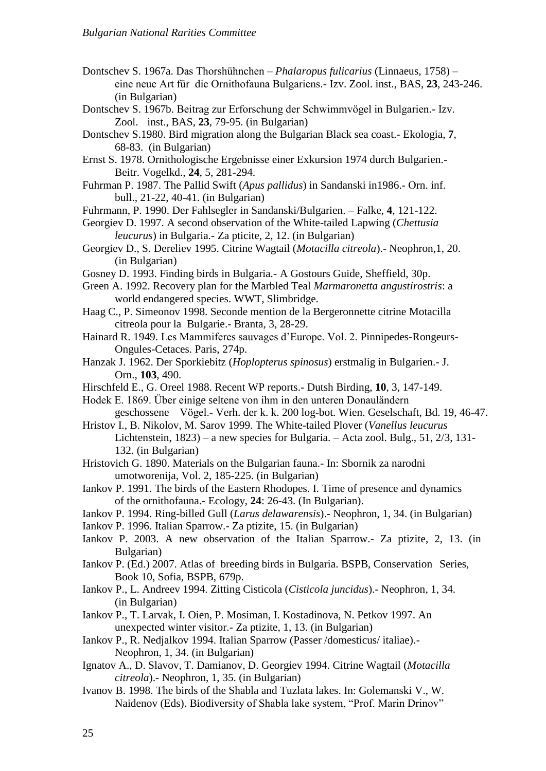- Dontschev S. 1967a. Das Thorshühnchen *Phalaropus fulicarius* (Linnaeus, 1758) eine neue Art für die Ornithofauna Bulgariens.- Izv. Zool. inst., BAS, **23**, 243-246. (in Bulgarian)
- Dontschev S. 1967b. Beitrag zur Erforschung der Schwimmvögel in Bulgarien.- Izv. Zool. inst., BAS, **23**, 79-95. (in Bulgarian)
- Dontschev S.1980. Bird migration along the Bulgarian Black sea coast.- Ekologia, **7**, 68-83. (in Bulgarian)
- Ernst S. 1978. Ornithologische Ergebnisse einer Exkursion 1974 durch Bulgarien.- Beitr. Vogelkd., **24**, 5, 281-294.
- Fuhrman P. 1987. The Pallid Swift (*Apus pallidus*) in Sandanski in1986.- Оrn. inf. bull., 21-22, 40-41. (in Bulgarian)
- Fuhrmann, P. 1990. Der Fahlsegler in Sandanski/Bulgarien. Falke, **4**, 121-122.
- Georgiev D. 1997. A second observation of the White-tailed Lapwing (*Chettusia leucurus*) in Bulgaria.- Za pticite, 2, 12. (in Bulgarian)
- Georgiev D., S. Dereliev 1995. Citrine Wagtail (*Motacilla citreola*).- Neophron,1, 20. (in Bulgarian)
- Gosney D. 1993. Finding birds in Bulgaria.- A Gostours Guide, Sheffield, 30p.
- Green A. 1992. Recovery plan for the Marbled Teal *Marmaronetta angustirostris*: a world endangered species. WWT, Slimbridge.
- Haag C., P. Simeonov 1998. Seconde mention de la Bergeronnette citrine Motacilla citreola pour la Bulgarie.- Branta, 3, 28-29.
- Hainard R. 1949. Les Mammiferes sauvages d'Europe. Vol. 2. Pinnipedes-Rongeurs-Ongules-Cetaces. Paris, 274p.
- Hanzak J. 1962. Der Sporkiebitz (*Hoplopterus spinosus*) erstmalig in Bulgarien.- J. Orn., **103**, 490.
- Hirschfeld E., G. Oreel 1988. Recent WP reports.- Dutsh Birding, **10**, 3, 147-149.

Hodek E. 1869. Über einige seltene von ihm in den unteren Donaulӓndern

- geschossene Vögel.- Verh. der k. k. 200 log-bot. Wien. Geselschaft, Bd. 19, 46-47. Hristov I., B. Nikolov, M. Sarov 1999. The White-tailed Plover (*Vanellus leucurus*
	- Lichtenstein, 1823) a new species for Bulgaria. Acta zool. Bulg., 51, 2/3, 131- 132. (in Bulgarian)
- Hristovich G. 1890. Materials on the Bulgarian fauna.- In: Sbornik za narodni umotworenija, Vol. 2, 185-225. (in Bulgarian)
- Iankov P. 1991. The birds of the Eastern Rhodopes. I. Time of presence and dynamics of the ornithofauna.- Ecology, **24**: 26-43. (In Bulgarian).
- Iankov P. 1994. Ring-billed Gull (*Larus delawarensis*).- Neophron, 1, 34. (in Bulgarian)
- Iankov P. 1996. Italian Sparrow.- Za ptizite, 15. (in Bulgarian)
- Iankov P. 2003. A new observation of the Italian Sparrow.- Za ptizite, 2, 13. (in Bulgarian)
- Iankov P. (Ed.) 2007. Atlas of breeding birds in Bulgaria. BSPB, Conservation Series, Book 10, Sofia, BSPB, 679p.
- Iankov P., L. Andreev 1994. Zitting Cisticola (*Cisticola juncidus*).- Neophron, 1, 34. (in Bulgarian)
- Iankov P., T. Larvak, I. Oien, P. Mosiman, I. Kostadinova, N. Petkov 1997. An unexpected winter visitor.- Za ptizite, 1, 13. (in Bulgarian)
- Iankov P., R. Nedjalkov 1994. Italian Sparrow (Passer /domesticus/ italiae).- Neophron, 1, 34. (in Bulgarian)
- Ignatov A., D. Slavov, T. Damianov, D. Georgiev 1994. Citrine Wagtail (*Motacilla citreola*).- Neophron, 1, 35. (in Bulgarian)
- Ivanov B. 1998. The birds of the Shabla and Tuzlata lakes. In: Golemanski V., W. Naidenov (Eds). Biodiversity of Shabla lake system, "Prof. Marin Drinov"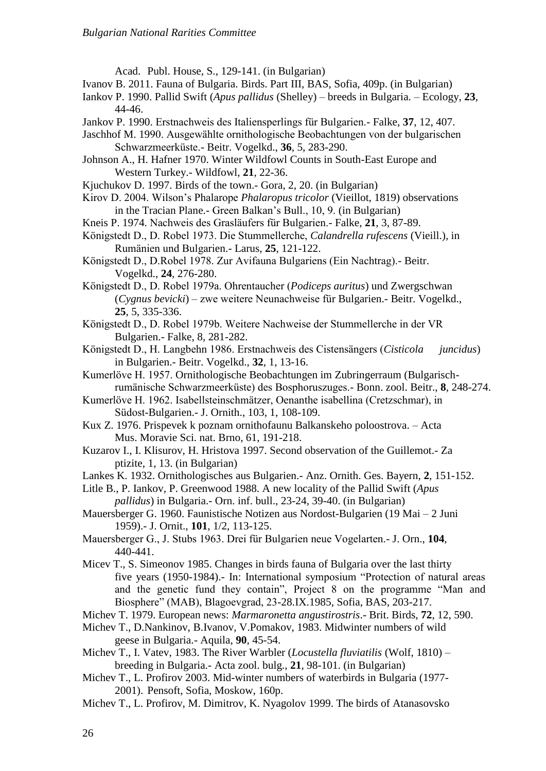Acad. Publ. House, S., 129-141. (in Bulgarian)

- Ivanov B. 2011. Fauna of Bulgaria. Birds. Part III, BAS, Sofia, 409p. (in Bulgarian)
- Iankov P. 1990. Pallid Swift (*Apus pallidus* (Shelley) breeds in Bulgaria. Ecology, **23**, 44-46.
- Jankov P. 1990. Erstnachweis des Italiensperlings für Bulgarien.- Falke, **37**, 12, 407.
- Jaschhof M. 1990. Ausgewählte ornithologische Beobachtungen von der bulgarischen Schwarzmeerküste.- Beitr. Vogelkd., **36**, 5, 283-290.
- Johnson A., H. Hafner 1970. Winter Wildfowl Counts in South-East Europe and Western Turkey.- Wildfowl, **21**, 22-36.

Kjuchukov D. 1997. Birds of the town.- Gora, 2, 20. (in Bulgarian)

- Kirov D. 2004. Wilson's Phalarope *Phalaropus tricolor* (Vieillot, 1819) observations in the Tracian Plane.- Green Balkan's Bull., 10, 9. (in Bulgarian)
- Kneis P. 1974. Nachweis des Grasläufers für Bulgarien.- Falke, **21**, 3, 87-89.
- Königstedt D., D. Robel 1973. Die Stummellerche, *Calandrella rufescens* (Vieill.), in Rumänien und Bulgarien.- Larus, **25**, 121-122.
- Königstedt D., D.Robel 1978. Zur Avifauna Bulgariens (Ein Nachtrag).- Beitr. Vogelkd., **24**, 276-280.
- Königstedt D., D. Robel 1979a. Ohrentaucher (*Podiceps auritus*) und Zwergschwan (*Cygnus bevicki*) – zwe weitere Neunachweise für Bulgarien.- Beitr. Vogelkd., **25**, 5, 335-336.
- Königstedt D., D. Robel 1979b. Weitere Nachweise der Stummellerche in der VR Bulgarien.- Falke, 8, 281-282.
- Königstedt D., H. Langbehn 1986. Erstnachweis des Cistensängers (*Cisticola juncidus*) in Bulgarien.- Beitr. Vogelkd., **32**, 1, 13-16.
- Kumerlöve H. 1957. Ornithologische Beobachtungen im Zubringerraum (Bulgarischrumänische Schwarzmeerküste) des Bosphoruszuges.- Bonn. zool. Beitr., **8**, 248-274.
- Kumerlöve H. 1962. Isabellsteinschmӓtzer, Oenanthe isabellina (Cretzschmar), in Südost-Bulgarien.- J. Ornith., 103, 1, 108-109.
- Kux Z. 1976. Prispevek k poznam ornithofaunu Balkanskeho poloostrova. Acta Mus. Moravie Sci. nat. Brno, 61, 191-218.
- Kuzarov I., I. Klisurov, H. Hristova 1997. Second observation of the Guillemot.- Za ptizite, 1, 13. (in Bulgarian)
- Lankes K. 1932. Ornithologisches aus Bulgarien.- Anz. Ornith. Ges. Bayern, **2**, 151-152.
- Litle B., P. Iankov, P. Greenwood 1988. A new locality of the Pallid Swift (*Apus pallidus*) in Bulgaria.- Orn. inf. bull., 23-24, 39-40. (in Bulgarian)
- Mauersberger G. 1960. Faunistische Notizen aus Nordost-Bulgarien (19 Mai 2 Juni 1959).- J. Ornit., **101**, 1/2, 113-125.
- Mauersberger G., J. Stubs 1963. Drei für Bulgarien neue Vogelarten.- J. Orn., **104**, 440-441.
- Micev T., S. Simeonov 1985. Changes in birds fauna of Bulgaria over the last thirty five years (1950-1984).- In: International symposium "Protection of natural areas and the genetic fund they contain", Project 8 on the programme "Man and Biosphere" (MAB), Blagoevgrad, 23-28.IX.1985, Sofia, BAS, 203-217.
- Michev T. 1979. European news: *Marmaronetta angustirostris*.- Brit. Birds, **72**, 12, 590.
- Michev T., D.Nankinov, B.Ivanov, V.Pomakov, 1983. Midwinter numbers of wild geese in Bulgaria.- Aquila, **90**, 45-54.
- Michev T., I. Vatev, 1983. The River Warbler (*Locustella fluviatilis* (Wolf, 1810) breeding in Bulgaria.- Acta zool. bulg., **21**, 98-101. (in Bulgarian)
- Michev T., L. Profirov 2003. Mid-winter numbers of waterbirds in Bulgaria (1977- 2001). Pensoft, Sofia, Moskow, 160p.
- Michev T., L. Profirov, M. Dimitrov, K. Nyagolov 1999. The birds of Atanasovsko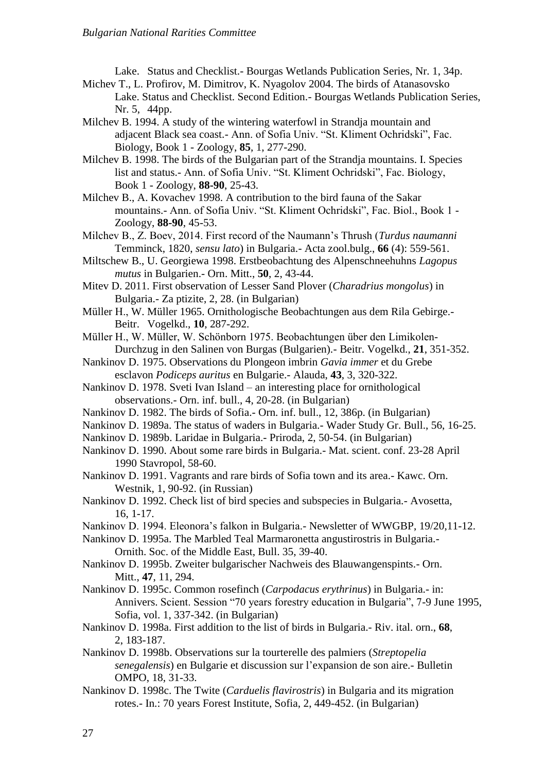Lake. Status and Checklist.- Bourgas Wetlands Publication Series, Nr. 1, 34p.

- Michev T., L. Profirov, M. Dimitrov, K. Nyagolov 2004. The birds of Atanasovsko Lake. Status and Checklist. Second Edition.- Bourgas Wetlands Publication Series, Nr. 5, 44pp.
- Milchev B. 1994. A study of the wintering waterfowl in Strandja mountain and adjacent Black sea coast.- Ann. of Sofia Univ. "St. Kliment Ochridski", Fac. Biology, Book 1 - Zoology, **85**, 1, 277-290.
- Milchev B. 1998. The birds of the Bulgarian part of the Strandja mountains. I. Species list and status.- Ann. of Sofia Univ. "St. Kliment Ochridski", Fac. Biology, Book 1 - Zoology, **88-90**, 25-43.
- Milchev B., A. Kovachev 1998. A contribution to the bird fauna of the Sakar mountains.- Ann. of Sofia Univ. "St. Kliment Ochridski", Fac. Biol., Book 1 - Zoology, **88-90**, 45-53.
- Milchev B., Z. Boev, 2014. First record of the Naumann's Thrush (*Turdus naumanni*  Temminck, 1820, *sensu lato*) in Bulgaria.- Acta zool.bulg., **66** (4): 559-561.
- Miltschew B., U. Georgiewa 1998. Erstbeobachtung des Alpenschneehuhns *Lagopus mutus* in Bulgarien.- Orn. Mitt., **50**, 2, 43-44.
- Mitev D. 2011. First observation of Lesser Sand Plover (*Charadrius mongolus*) in Bulgaria.- Za ptizite, 2, 28. (in Bulgarian)
- Müller Н., W. Müller 1965. Ornithologische Beobachtungen aus dem Rila Gebirge.- Beitr. Vogelkd., **10**, 287-292.
- Müller H., W. Müller, W. Schönborn 1975. Beobachtungen über den Limikolen-Durchzug in den Salinen von Burgas (Bulgarien).- Beitr. Vogelkd., **21**, 351-352.
- Nankinov D. 1975. Observations du Plongeon imbrin *Gavia immer* et du Grebe esclavon *Podiceps auritus* en Bulgarie.- Alauda, **43**, 3, 320-322.
- Nankinov D. 1978. Sveti Ivan Island an interesting place for ornithological observations.- Orn. inf. bull., 4, 20-28. (in Bulgarian)
- Nankinov D. 1982. The birds of Sofia.- Orn. inf. bull., 12, 386p. (in Bulgarian)
- Nankinov D. 1989a. The status of waders in Bulgaria.- Wader Study Gr. Bull., 56, 16-25.
- Nankinov D. 1989b. Laridae in Bulgaria.- Priroda, 2, 50-54. (in Bulgarian)
- Nankinov D. 1990. About some rare birds in Bulgaria.- Mat. scient. conf. 23-28 April 1990 Stavropol, 58-60.
- Nankinov D. 1991. Vagrants and rare birds of Sofia town and its area.- Kawc. Orn. Westnik, 1, 90-92. (in Russian)
- Nankinov D. 1992. Check list of bird species and subspecies in Bulgaria.- Avosetta, 16, 1-17.
- Nankinov D. 1994. Eleonora's falkon in Bulgaria.- Newsletter of WWGBP, 19/20,11-12.
- Nankinov D. 1995a. The Marbled Teal Marmaronetta angustirostris in Bulgaria.- Ornith. Soc. of the Middle East, Bull. 35, 39-40.
- Nankinov D. 1995b. Zweiter bulgarischer Nachweis des Blauwangenspints.- Orn. Mitt., **47**, 11, 294.
- Nankinov D. 1995c. Common rosefinch (*Carpodacus erythrinus*) in Bulgaria.- in: Annivers. Scient. Session "70 years forestry education in Bulgaria", 7-9 June 1995, Sofia, vol. 1, 337-342. (in Bulgarian)
- Nankinov D. 1998a. First addition to the list of birds in Bulgaria.- Riv. ital. orn., **68**, 2, 183-187.
- Nankinov D. 1998b. Observations sur la tourterelle des palmiers (*Streptopelia senegalensis*) en Bulgarie et discussion sur l'expansion de son aire.- Bulletin OMPO, 18, 31-33.
- Nankinov D. 1998c. The Twite (*Carduelis flavirostris*) in Bulgaria and its migration rotes.- In.: 70 years Forest Institute, Sofia, 2, 449-452. (in Bulgarian)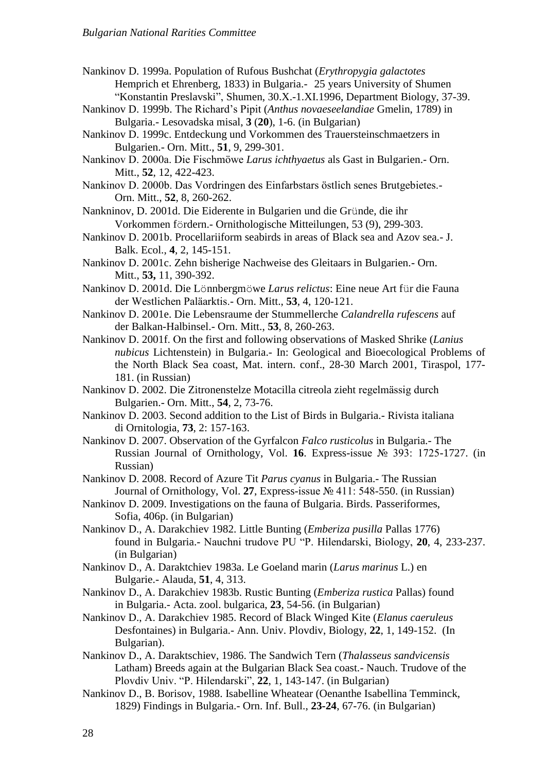Nankinov D. 1999a. Population of Rufous Bushchat (*Erythropygia galactotes* Hemprich et Ehrenberg, 1833) in Bulgaria.- 25 years University of Shumen "Konstantin Preslavski", Shumen, 30.X.-1.XI.1996, Department Biology, 37-39.

- Nankinov D. 1999b. The Richard's Pipit (*Anthus novaeseelandiae* Gmelin, 1789) in Bulgaria.- Lesovadska misal, **3** (**20**), 1-6. (in Bulgarian)
- Nankinov D. 1999c. Entdeckung und Vorkommen des Trauersteinschmaetzers in Bulgarien.- Orn. Mitt., **51**, 9, 299-301.
- Nankinov D. 2000a. Die Fischmöwe *Larus ichthyaetus* als Gast in Bulgarien.- Orn. Mitt., **52**, 12, 422-423.
- Nankinov D. 2000b. Das Vordringen des Einfarbstars östlich senes Brutgebietes.- Orn. Mitt., **52**, 8, 260-262.

Nankninov, D. 2001d. Die Eiderente in Bulgarien und die Gründe, die ihr Vorkommen fördern.- Ornithologische Mitteilungen, 53 (9), 299-303.

- Nankinov D. 2001b. Procellariiform seabirds in areas of Black sea and Azov sea.- J. Balk. Ecol., **4**, 2, 145-151.
- Nankinov D. 2001c. Zehn bisherige Nachweise des Gleitaars in Bulgarien.- Orn. Mitt., **53,** 11, 390-392.
- Nankinov D. 2001d. Die Lönnbergmöwe *Larus relictus*: Eine neue Art für die Fauna der Westlichen Palӓarktis.- Orn. Mitt., **53**, 4, 120-121.
- Nankinov D. 2001e. Die Lebensraume der Stummellerche *Calandrella rufescens* auf der Balkan-Halbinsel.- Orn. Mitt., **53**, 8, 260-263.
- Nankinov D. 2001f. Оn the first and following observations of Masked Shrike (*Lanius nubicus* Lichtenstein) in Bulgaria.- In: Geological and Bioecological Problems of the North Black Sea coast, Mat. intern. conf., 28-30 March 2001, Tiraspol, 177- 181. (in Russian)
- Nankinov D. 2002. Die Zitronenstelze Motacilla citreola zieht regelmӓssig durch Bulgarien.- Orn. Mitt., **54**, 2, 73-76.
- Nankinov D. 2003. Second addition to the List of Birds in Bulgaria.- Rivista italiana di Ornitologia, **73**, 2: 157-163.
- Nankinov D. 2007. Observation of the Gyrfalcon *Falco rusticolus* in Bulgaria.- The Russian Journal of Ornithology, Vol. **16**. Express-issue № 393: 1725-1727. (in Russian)
- Nankinov D. 2008. Record of Azure Tit *Parus cyanus* in Bulgaria.- The Russian Journal of Ornithology, Vol. **27**, Express-issue № 411: 548-550. (in Russian)
- Nankinov D. 2009. Investigations on the fauna of Bulgaria. Birds. Passeriformes, Sofia, 406p. (in Bulgarian)
- Nankinov D., A. Darakchiev 1982. Little Bunting (*Emberiza pusilla* Pallas 1776) found in Bulgaria.- Nauchni trudove PU "P. Hilendarski, Biology, **20**, 4, 233-237. (in Bulgarian)
- Nankinov D., A. Daraktchiev 1983a. Le Goeland marin (*Larus marinus* L.) en Bulgarie.- Alauda, **51**, 4, 313.
- Nankinov D., A. Darakchiev 1983b. Rustic Bunting (*Emberiza rustica* Pallas) found in Bulgaria.- Acta. zool. bulgarica, **23**, 54-56. (in Bulgarian)
- Nankinov D., A. Darakchiev 1985. Record of Black Winged Kite (*Elanus caeruleus* Desfontaines) in Bulgaria.- Ann. Univ. Plovdiv, Biology, **22**, 1, 149-152. (In Bulgarian).
- Nankinov D., A. Daraktschiev, 1986. The Sandwich Tern (*Thalasseus sandvicensis* Latham) Breeds again at the Bulgarian Black Sea coast.- Nauch. Trudove of the Plovdiv Univ. "P. Hilendarski", **22**, 1, 143-147. (in Bulgarian)
- Nankinov D., B. Borisov, 1988. Isabelline Wheatear (Oenanthe Isabellina Temminck, 1829) Findings in Bulgaria.- Orn. Inf. Bull., **23-24**, 67-76. (in Bulgarian)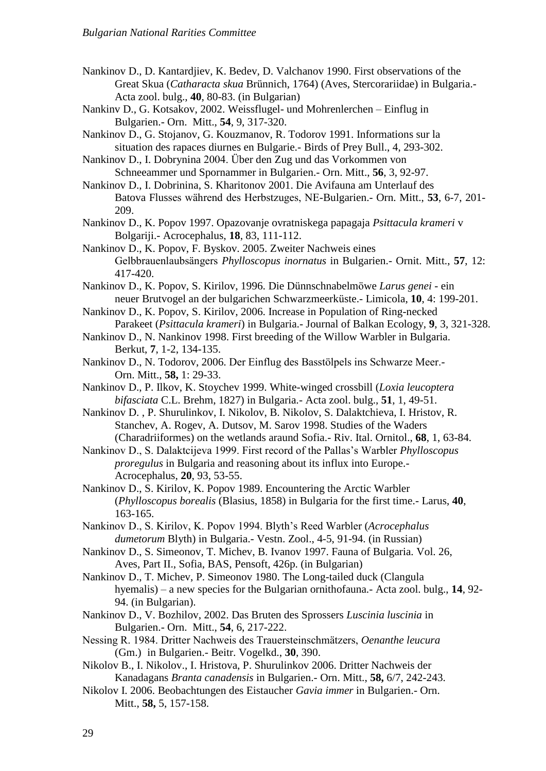Nankinov D., D. Kantardjiev, K. Bedev, D. Valchanov 1990. First observations of the Great Skua (*Catharacta skua* Brünnich, 1764) (Aves, Stercorariidae) in Bulgaria.- Acta zool. bulg., **40**, 80-83. (in Bulgarian)

Nankinv D., G. Kotsakov, 2002. Weissflugel- und Mohrenlerchen – Einflug in Bulgarien.- Orn. Mitt., **54**, 9, 317-320.

Nankinov D., G. Stojanov, G. Kouzmanov, R. Todorov 1991. Informations sur la situation des rapaces diurnes en Bulgarie.- Birds of Prey Bull., 4, 293-302.

Nankinov D., I. Dobrynina 2004. Über den Zug und das Vorkommen von Schneeammer und Spornammer in Bulgarien.- Orn. Mitt., **56**, 3, 92-97.

Nankinov D., I. Dobrinina, S. Kharitonov 2001. Die Avifauna am Unterlauf des Batova Flusses während des Herbstzuges, NE-Bulgarien.- Orn. Mitt., **53**, 6-7, 201- 209.

Nankinov D., K. Popov 1997. Opazovanje ovratniskega papagaja *Psittacula krameri* v Bolgariji.- Acrocephalus, **18**, 83, 111-112.

Nankinov D., K. Popov, F. Byskov. 2005. Zweiter Nachweis eines Gelbbrauenlaubsängers *Phylloscopus inornatus* in Bulgarien.- Ornit. Mitt., **57**, 12: 417-420.

Nankinov D., K. Popov, S. Kirilov, 1996. Die Dünnschnabelmöwe *Larus genei* - ein neuer Brutvogel an der bulgarichen Schwarzmeerküste.- Limicola, **10**, 4: 199-201.

Nankinov D., K. Popov, S. Kirilov, 2006. Increase in Population of Ring-necked Parakeet (*Psittacula krameri*) in Bulgaria.- Journal of Balkan Ecology, **9**, 3, 321-328.

Nankinov D., N. Nankinov 1998. First breeding of the Willow Warbler in Bulgaria. Berkut, **7**, 1-2, 134-135.

Nankinov D., N. Todorov, 2006. Der Einflug des Basstölpels ins Schwarze Meer.- Orn. Mitt., **58,** 1: 29-33.

Nankinov D., P. Ilkov, K. Stoychev 1999. White-winged crossbill (*Loxia leucoptera bifasciata* C.L. Brehm, 1827) in Bulgaria.- Acta zool. bulg., **51**, 1, 49-51.

Nankinov D. , P. Shurulinkov, I. Nikolov, B. Nikolov, S. Dalaktchieva, I. Hristov, R. Stanchev, A. Rogev, A. Dutsov, M. Sarov 1998. Studies of the Waders (Charadriiformes) on the wetlands araund Sofia.- Riv. Ital. Ornitol., **68**, 1, 63-84.

Nankinov D., S. Dalaktcijeva 1999. First record of the Pallas's Warbler *Phylloscopus proregulus* in Bulgaria and reasoning about its influx into Europe.- Acrocephalus, **20**, 93, 53-55.

Nankinov D., S. Kirilov, K. Popov 1989. Encountering the Arctic Warbler (*Phylloscopus borealis* (Blasius, 1858) in Bulgaria for the first time.- Larus, **40**, 163-165.

Nankinov D., S. Kirilov, K. Popov 1994. Blyth's Reed Warbler (*Acrocephalus dumetorum* Blyth) in Bulgaria.- Vestn. Zool., 4-5, 91-94. (in Russian)

Nankinov D., S. Simeonov, T. Michev, B. Ivanov 1997. Fauna of Bulgaria. Vol. 26, Aves, Part II., Sofia, BAS, Pensoft, 426p. (in Bulgarian)

Nankinov D., T. Michev, P. Simeonov 1980. The Long-tailed duck (Clangula hyemalis) – a new species for the Bulgarian ornithofauna.- Acta zool. bulg., **14**, 92- 94. (in Bulgarian).

Nankinov D., V. Bozhilov, 2002. Das Bruten des Sprossers *Luscinia luscinia* in Bulgarien.- Orn. Mitt., **54**, 6, 217-222.

Nessing R. 1984. Dritter Nachweis des Trauersteinschmätzers, *Oenanthe leucura* (Gm.) in Bulgarien.- Beitr. Vogelkd., **30**, 390.

Nikolov B., I. Nikolov., I. Hristova, P. Shurulinkov 2006. Dritter Nachweis der Kanadagans *Branta canadensis* in Bulgarien.- Orn. Mitt., **58,** 6/7, 242-243.

Nikolov I. 2006. Beobachtungen des Eistaucher *Gavia immer* in Bulgarien.- Orn. Mitt., **58,** 5, 157-158.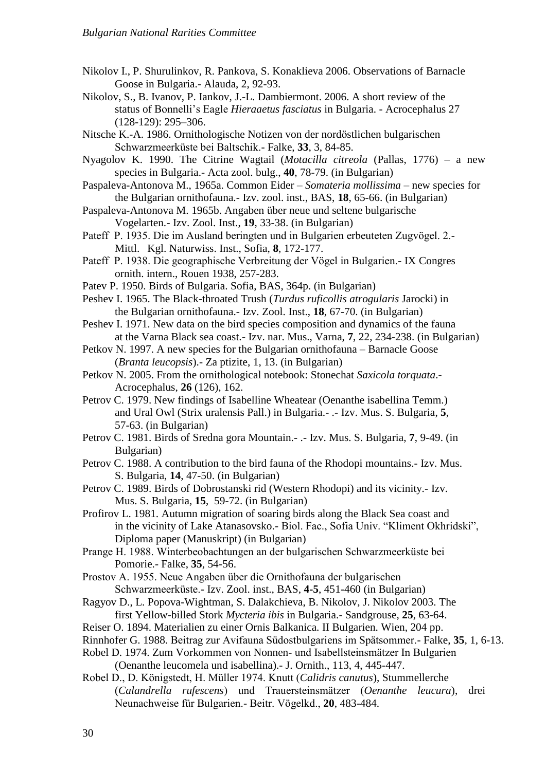- Nikolov I., P. Shurulinkov, R. Pankova, S. Konaklieva 2006. Observations of Barnacle Goose in Bulgaria.- Alauda, 2, 92-93.
- Nikolov, S., B. Ivanov, P. Iankov, J.-L. Dambiermont. 2006. A short review of the status of Bonnelli's Eagle *Hieraaetus fasciatus* in Bulgaria. - Acrocephalus 27 (128-129): 295–306.
- Nitsche K.-A. 1986. Ornithologische Notizen von der nordöstlichen bulgarischen Schwarzmeerküste bei Baltschik.- Falke, **33**, 3, 84-85.
- Nyagolov K. 1990. The Citrine Wagtail (*Motacilla citreola* (Pallas, 1776) a new species in Bulgaria.- Acta zool. bulg., **40**, 78-79. (in Bulgarian)
- Paspaleva-Antonova M., 1965a. Common Eider *Somateria mollissima* new species for the Bulgarian ornithofauna.- Izv. zool. inst., BAS, **18**, 65-66. (in Bulgarian)
- Paspaleva-Antonova M. 1965b. Angaben über neue und seltene bulgarische Vogelarten.- Izv. Zool. Inst., **19**, 33-38. (in Bulgarian)
- Pateff P. 1935. Die im Ausland beringten und in Bulgarien erbeuteten Zugvögel. 2.- Mittl. Kgl. Naturwiss. Inst., Sofia, **8**, 172-177.
- Pateff P. 1938. Die geographische Verbreitung der Vögel in Bulgarien.- IX Congres ornith. intern., Rouen 1938, 257-283.
- Patev P. 1950. Birds of Bulgaria. Sofia, BAS, 364p. (in Bulgarian)
- Peshev I. 1965. The Black-throated Trush (*Turdus ruficollis atrogularis* Jarocki) in the Bulgarian ornithofauna.- Izv. Zool. Inst., **18**, 67-70. (in Bulgarian)
- Peshev I. 1971. New data on the bird species composition and dynamics of the fauna at the Varna Black sea coast.- Izv. nar. Mus., Varna, **7**, 22, 234-238. (in Bulgarian)
- Petkov N. 1997. A new species for the Bulgarian ornithofauna Barnacle Goose (*Branta leucopsis*).- Za ptizite, 1, 13. (in Bulgarian)
- Petkov N. 2005. From the ornithological notebook: Stonechat *Saxicola torquata*.- Acrocephalus, **26** (126), 162.
- Petrov C. 1979. New findings of Isabelline Wheatear (Oenanthe isabellina Temm.) and Ural Owl (Strix uralensis Pall.) in Bulgaria.- .- Izv. Mus. S. Bulgaria, **5**, 57-63. (in Bulgarian)
- Petrov C. 1981. Birds of Sredna gora Mountain.- .- Izv. Mus. S. Bulgaria, **7**, 9-49. (in Bulgarian)
- Petrov C. 1988. A contribution to the bird fauna of the Rhodopi mountains.- Izv. Mus. S. Bulgaria, **14**, 47-50. (in Bulgarian)
- Petrov C. 1989. Birds of Dobrostanski rid (Western Rhodopi) and its vicinity.- Izv. Mus. S. Bulgaria, **15**, 59-72. (in Bulgarian)
- Profirov L. 1981. Autumn migration of soaring birds along the Black Sea coast and in the vicinity of Lake Atanasovsko.- Biol. Fac., Sofia Univ. "Kliment Okhridski", Diploma paper (Manuskript) (in Bulgarian)
- Prange H. 1988. Winterbeobachtungen an der bulgarischen Schwarzmeerküste bei Pomorie.- Falke, **35**, 54-56.
- Prostov A. 1955. Neue Angaben über die Ornithofauna der bulgarischen Schwarzmeerküste.- Izv. Zool. inst., BAS, **4-5**, 451-460 (in Bulgarian)
- Ragyov D., L. Popova-Wightman, S. Dalakchieva, B. Nikolov, J. Nikolov 2003. The first Yellow-billed Stork *Mycteria ibis* in Bulgaria.- Sandgrouse, **25**, 63-64.
- Reiser O. 1894. Materialien zu einer Ornis Balkanica. II Bulgarien. Wien, 204 pp.
- Rinnhofer G. 1988. Beitrag zur Avifauna Südostbulgariens im Spätsommer.- Falke, **35**, 1, 6-13.
- Robel D. 1974. Zum Vorkommen von Nonnen- und Isabellsteinsmӓtzer In Bulgarien

(Oenanthe leucomela und isabellina).- J. Ornith., 113, 4, 445-447.

Robel D., D. Königstedt, H. Müller 1974. Knutt (*Calidris canutus*), Stummellerche (*Calandrella rufescens*) und Trauersteinsmätzer (*Oenanthe leucura*), drei Neunachweise für Bulgarien.- Beitr. Vögelkd., **20**, 483-484.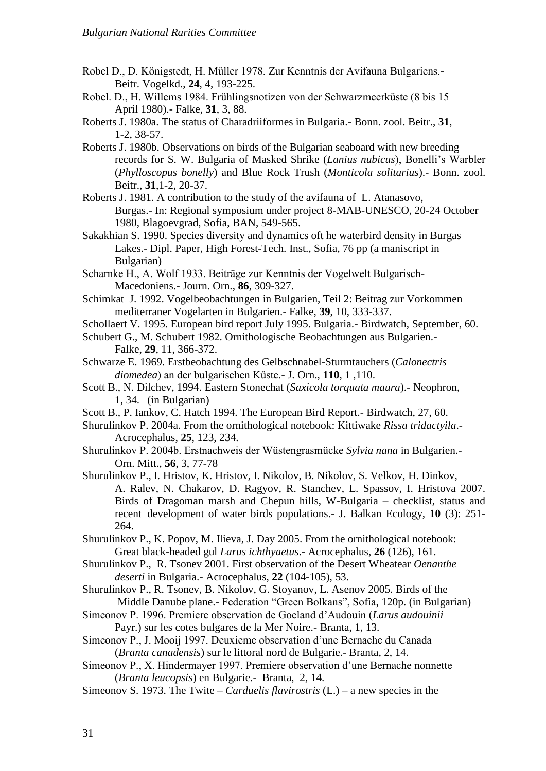- Robel D., D. Königstedt, H. Müller 1978. Zur Kenntnis der Avifauna Bulgariens.- Beitr. Vogelkd., **24**, 4, 193-225.
- Robel. D., H. Willems 1984. Frühlingsnotizen von der Schwarzmeerküste (8 bis 15 April 1980).- Falke, **31**, 3, 88.
- Roberts J. 1980a. The status of Charadriiformes in Bulgaria.- Bonn. zool. Beitr., **31**, 1-2, 38-57.
- Roberts J. 1980b. Observations on birds of the Bulgarian seaboard with new breeding records for S. W. Bulgaria of Masked Shrike (*Lanius nubicus*), Bonelli's Warbler (*Phylloscopus bonelly*) and Blue Rock Trush (*Monticola solitarius*).- Bonn. zool. Beitr., **31**,1-2, 20-37.
- Roberts J. 1981. A contribution to the study of the avifauna of L. Atanasovo, Burgas.- In: Regional symposium under project 8-MAB-UNESCO, 20-24 October 1980, Blagoevgrad, Sofia, BAN, 549-565.
- Sakakhian S. 1990. Species diversity and dynamics oft he waterbird density in Burgas Lakes.- Dipl. Paper, High Forest-Tech. Inst., Sofia, 76 pp (a maniscript in Bulgarian)
- Scharnke H., A. Wolf 1933. Beitrӓge zur Kenntnis der Vogelwelt Bulgarisch-Macedoniens.- Journ. Orn., **86**, 309-327.
- Schimkat J. 1992. Vogelbeobachtungen in Bulgarien, Teil 2: Beitrag zur Vorkommen mediterraner Vogelarten in Bulgarien.- Falke, **39**, 10, 333-337.
- Schollaert V. 1995. European bird report July 1995. Bulgaria.- Birdwatch, September, 60.
- Schubert G., M. Schubert 1982. Ornithologische Beobachtungen aus Bulgarien.- Falke, **29**, 11, 366-372.
- Schwarze E. 1969. Erstbeobachtung des Gelbschnabel-Sturmtauchers (*Calonectris diomedea*) an der bulgarischen Küste.- J. Orn., **110**, 1 ,110.
- Scott B., N. Dilchev, 1994. Eastern Stonechat (*Saxicola torquata maura*).- Neophron, 1, 34. (in Bulgarian)
- Scott B., P. Iankov, C. Hatch 1994. The European Bird Report.- Birdwatch, 27, 60.
- Shurulinkov P. 2004a. From the ornithological notebook: Kittiwake *Rissa tridactyila*.- Acrocephalus, **25**, 123, 234.
- Shurulinkov P. 2004b. Erstnachweis der Wüstengrasmücke *Sylvia nana* in Bulgarien.- Orn. Mitt., **56**, 3, 77-78
- Shurulinkov P., I. Hristov, K. Hristov, I. Nikolov, B. Nikolov, S. Velkov, H. Dinkov, A. Ralev, N. Chakarov, D. Ragyov, R. Stanchev, L. Spassov, I. Hristova 2007. Birds of Dragoman marsh and Chepun hills, W-Bulgaria – checklist, status and recent development of water birds populations.- J. Balkan Ecology, **10** (3): 251- 264.
- Shurulinkov P., K. Popov, M. Ilieva, J. Day 2005. From the ornithological notebook: Great black-headed gul *Larus ichthyaetus*.- Acrocephalus, **26** (126), 161.
- Shurulinkov P., R. Tsonev 2001. First observation of the Desert Wheatear *Oenanthe deserti* in Bulgaria.- Acrocephalus, **22** (104-105), 53.
- Shurulinkov P., R. Tsonev, B. Nikolov, G. Stoyanov, L. Asenov 2005. Birds of the Middle Danube plane.- Federation "Green Bolkans", Sofia, 120p. (in Bulgarian)
- Simeonov P. 1996. Premiere observation de Goeland d'Audouin (*Larus audouinii* Payr.) sur les cotes bulgares de la Mer Noire.- Branta, 1, 13.
- Simeonov P., J. Mooij 1997. Deuxieme observation d'une Bernache du Canada (*Branta canadensis*) sur le littoral nord de Bulgarie.- Branta, 2, 14.
- Simeonov P., X. Hindermayer 1997. Premiere observation d'une Bernache nonnette (*Branta leucopsis*) en Bulgarie.- Branta, 2, 14.
- Simeonov S. 1973. The Twite *Carduelis flavirostris* (L.) a new species in the